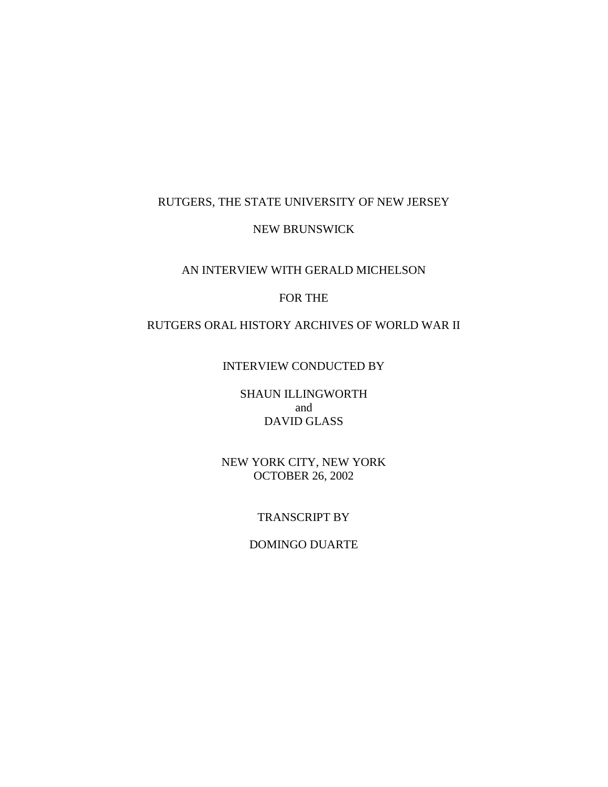## RUTGERS, THE STATE UNIVERSITY OF NEW JERSEY

#### NEW BRUNSWICK

# AN INTERVIEW WITH GERALD MICHELSON

## FOR THE

# RUTGERS ORAL HISTORY ARCHIVES OF WORLD WAR II

#### INTERVIEW CONDUCTED BY

## SHAUN ILLINGWORTH and DAVID GLASS

### NEW YORK CITY, NEW YORK OCTOBER 26, 2002

### TRANSCRIPT BY

### DOMINGO DUARTE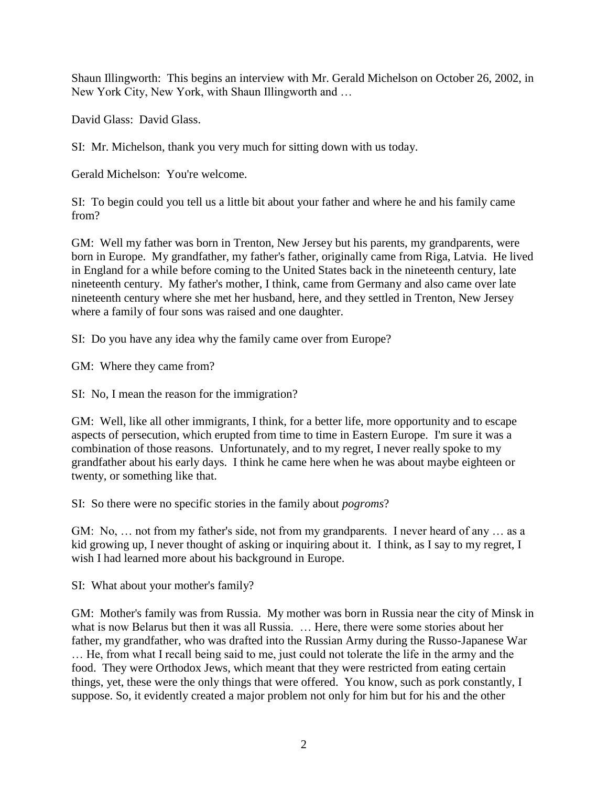Shaun Illingworth: This begins an interview with Mr. Gerald Michelson on October 26, 2002, in New York City, New York, with Shaun Illingworth and …

David Glass: David Glass.

SI: Mr. Michelson, thank you very much for sitting down with us today.

Gerald Michelson: You're welcome.

SI: To begin could you tell us a little bit about your father and where he and his family came from?

GM: Well my father was born in Trenton, New Jersey but his parents, my grandparents, were born in Europe. My grandfather, my father's father, originally came from Riga, Latvia. He lived in England for a while before coming to the United States back in the nineteenth century, late nineteenth century. My father's mother, I think, came from Germany and also came over late nineteenth century where she met her husband, here, and they settled in Trenton, New Jersey where a family of four sons was raised and one daughter.

SI: Do you have any idea why the family came over from Europe?

GM: Where they came from?

SI: No, I mean the reason for the immigration?

GM: Well, like all other immigrants, I think, for a better life, more opportunity and to escape aspects of persecution, which erupted from time to time in Eastern Europe. I'm sure it was a combination of those reasons. Unfortunately, and to my regret, I never really spoke to my grandfather about his early days. I think he came here when he was about maybe eighteen or twenty, or something like that.

SI: So there were no specific stories in the family about *pogroms*?

GM: No, ... not from my father's side, not from my grandparents. I never heard of any ... as a kid growing up, I never thought of asking or inquiring about it. I think, as I say to my regret, I wish I had learned more about his background in Europe.

SI: What about your mother's family?

GM: Mother's family was from Russia. My mother was born in Russia near the city of Minsk in what is now Belarus but then it was all Russia. … Here, there were some stories about her father, my grandfather, who was drafted into the Russian Army during the Russo-Japanese War … He, from what I recall being said to me, just could not tolerate the life in the army and the food. They were Orthodox Jews, which meant that they were restricted from eating certain things, yet, these were the only things that were offered. You know, such as pork constantly, I suppose. So, it evidently created a major problem not only for him but for his and the other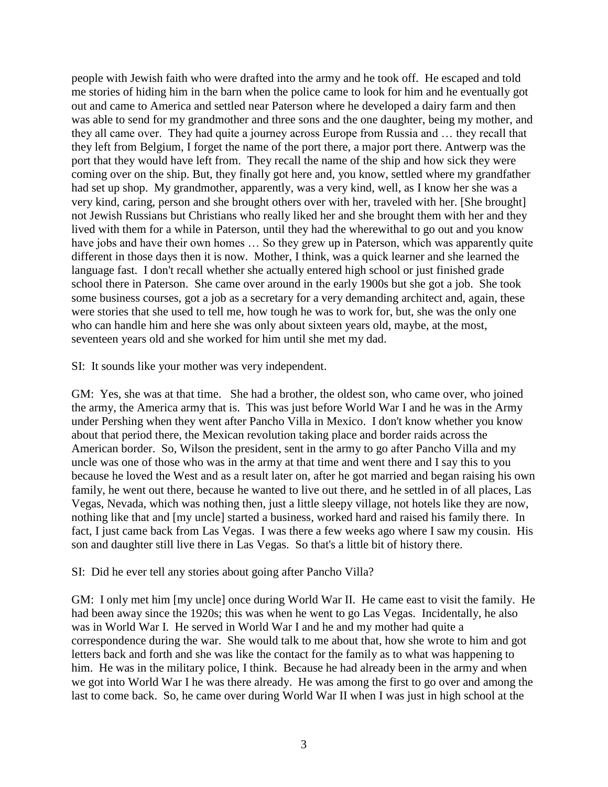people with Jewish faith who were drafted into the army and he took off. He escaped and told me stories of hiding him in the barn when the police came to look for him and he eventually got out and came to America and settled near Paterson where he developed a dairy farm and then was able to send for my grandmother and three sons and the one daughter, being my mother, and they all came over. They had quite a journey across Europe from Russia and … they recall that they left from Belgium, I forget the name of the port there, a major port there. Antwerp was the port that they would have left from. They recall the name of the ship and how sick they were coming over on the ship. But, they finally got here and, you know, settled where my grandfather had set up shop. My grandmother, apparently, was a very kind, well, as I know her she was a very kind, caring, person and she brought others over with her, traveled with her. [She brought] not Jewish Russians but Christians who really liked her and she brought them with her and they lived with them for a while in Paterson, until they had the wherewithal to go out and you know have jobs and have their own homes ... So they grew up in Paterson, which was apparently quite different in those days then it is now. Mother, I think, was a quick learner and she learned the language fast. I don't recall whether she actually entered high school or just finished grade school there in Paterson. She came over around in the early 1900s but she got a job. She took some business courses, got a job as a secretary for a very demanding architect and, again, these were stories that she used to tell me, how tough he was to work for, but, she was the only one who can handle him and here she was only about sixteen years old, maybe, at the most, seventeen years old and she worked for him until she met my dad.

SI: It sounds like your mother was very independent.

GM: Yes, she was at that time. She had a brother, the oldest son, who came over, who joined the army, the America army that is. This was just before World War I and he was in the Army under Pershing when they went after Pancho Villa in Mexico. I don't know whether you know about that period there, the Mexican revolution taking place and border raids across the American border. So, Wilson the president, sent in the army to go after Pancho Villa and my uncle was one of those who was in the army at that time and went there and I say this to you because he loved the West and as a result later on, after he got married and began raising his own family, he went out there, because he wanted to live out there, and he settled in of all places, Las Vegas, Nevada, which was nothing then, just a little sleepy village, not hotels like they are now, nothing like that and [my uncle] started a business, worked hard and raised his family there. In fact, I just came back from Las Vegas. I was there a few weeks ago where I saw my cousin. His son and daughter still live there in Las Vegas. So that's a little bit of history there.

### SI: Did he ever tell any stories about going after Pancho Villa?

GM: I only met him [my uncle] once during World War II. He came east to visit the family. He had been away since the 1920s; this was when he went to go Las Vegas. Incidentally, he also was in World War I. He served in World War I and he and my mother had quite a correspondence during the war. She would talk to me about that, how she wrote to him and got letters back and forth and she was like the contact for the family as to what was happening to him. He was in the military police, I think. Because he had already been in the army and when we got into World War I he was there already. He was among the first to go over and among the last to come back. So, he came over during World War II when I was just in high school at the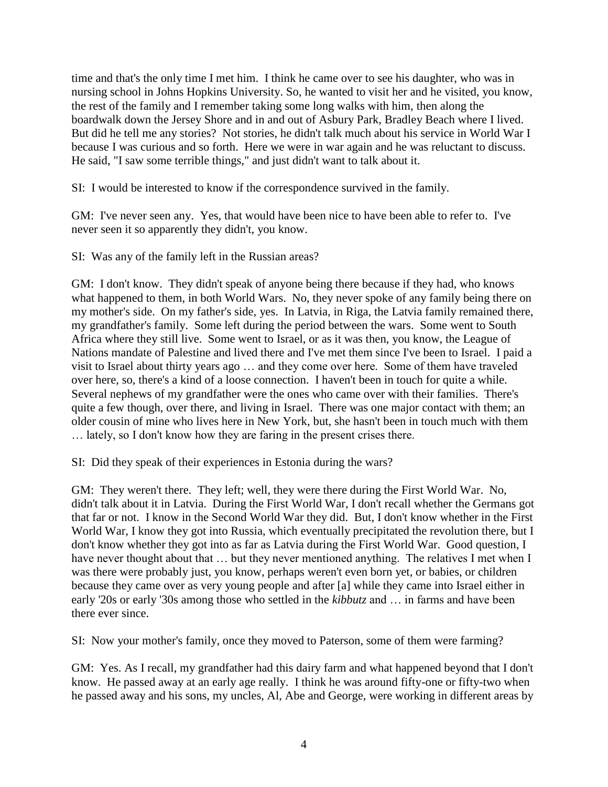time and that's the only time I met him. I think he came over to see his daughter, who was in nursing school in Johns Hopkins University. So, he wanted to visit her and he visited, you know, the rest of the family and I remember taking some long walks with him, then along the boardwalk down the Jersey Shore and in and out of Asbury Park, Bradley Beach where I lived. But did he tell me any stories? Not stories, he didn't talk much about his service in World War I because I was curious and so forth. Here we were in war again and he was reluctant to discuss. He said, "I saw some terrible things," and just didn't want to talk about it.

SI: I would be interested to know if the correspondence survived in the family.

GM: I've never seen any. Yes, that would have been nice to have been able to refer to. I've never seen it so apparently they didn't, you know.

SI: Was any of the family left in the Russian areas?

GM: I don't know. They didn't speak of anyone being there because if they had, who knows what happened to them, in both World Wars. No, they never spoke of any family being there on my mother's side. On my father's side, yes. In Latvia, in Riga, the Latvia family remained there, my grandfather's family. Some left during the period between the wars. Some went to South Africa where they still live. Some went to Israel, or as it was then, you know, the League of Nations mandate of Palestine and lived there and I've met them since I've been to Israel. I paid a visit to Israel about thirty years ago … and they come over here. Some of them have traveled over here, so, there's a kind of a loose connection. I haven't been in touch for quite a while. Several nephews of my grandfather were the ones who came over with their families. There's quite a few though, over there, and living in Israel. There was one major contact with them; an older cousin of mine who lives here in New York, but, she hasn't been in touch much with them … lately, so I don't know how they are faring in the present crises there.

SI: Did they speak of their experiences in Estonia during the wars?

GM: They weren't there. They left; well, they were there during the First World War. No, didn't talk about it in Latvia. During the First World War, I don't recall whether the Germans got that far or not. I know in the Second World War they did. But, I don't know whether in the First World War, I know they got into Russia, which eventually precipitated the revolution there, but I don't know whether they got into as far as Latvia during the First World War. Good question, I have never thought about that ... but they never mentioned anything. The relatives I met when I was there were probably just, you know, perhaps weren't even born yet, or babies, or children because they came over as very young people and after [a] while they came into Israel either in early '20s or early '30s among those who settled in the *kibbutz* and … in farms and have been there ever since.

SI: Now your mother's family, once they moved to Paterson, some of them were farming?

GM: Yes. As I recall, my grandfather had this dairy farm and what happened beyond that I don't know. He passed away at an early age really. I think he was around fifty-one or fifty-two when he passed away and his sons, my uncles, Al, Abe and George, were working in different areas by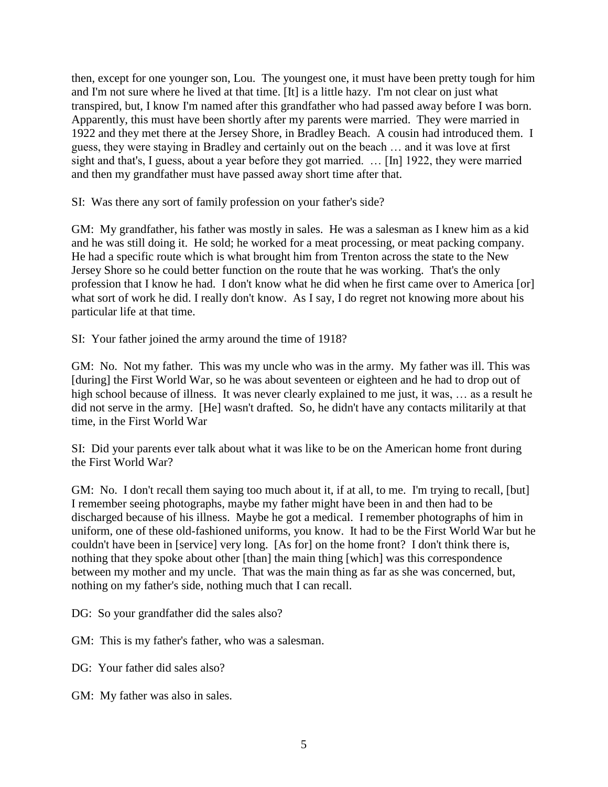then, except for one younger son, Lou. The youngest one, it must have been pretty tough for him and I'm not sure where he lived at that time. [It] is a little hazy. I'm not clear on just what transpired, but, I know I'm named after this grandfather who had passed away before I was born. Apparently, this must have been shortly after my parents were married. They were married in 1922 and they met there at the Jersey Shore, in Bradley Beach. A cousin had introduced them. I guess, they were staying in Bradley and certainly out on the beach … and it was love at first sight and that's, I guess, about a year before they got married. … [In] 1922, they were married and then my grandfather must have passed away short time after that.

SI: Was there any sort of family profession on your father's side?

GM: My grandfather, his father was mostly in sales. He was a salesman as I knew him as a kid and he was still doing it. He sold; he worked for a meat processing, or meat packing company. He had a specific route which is what brought him from Trenton across the state to the New Jersey Shore so he could better function on the route that he was working. That's the only profession that I know he had. I don't know what he did when he first came over to America [or] what sort of work he did. I really don't know. As I say, I do regret not knowing more about his particular life at that time.

SI: Your father joined the army around the time of 1918?

GM: No. Not my father. This was my uncle who was in the army. My father was ill. This was [during] the First World War, so he was about seventeen or eighteen and he had to drop out of high school because of illness. It was never clearly explained to me just, it was, ... as a result he did not serve in the army. [He] wasn't drafted. So, he didn't have any contacts militarily at that time, in the First World War

SI: Did your parents ever talk about what it was like to be on the American home front during the First World War?

GM: No. I don't recall them saying too much about it, if at all, to me. I'm trying to recall, [but] I remember seeing photographs, maybe my father might have been in and then had to be discharged because of his illness. Maybe he got a medical. I remember photographs of him in uniform, one of these old-fashioned uniforms, you know. It had to be the First World War but he couldn't have been in [service] very long. [As for] on the home front? I don't think there is, nothing that they spoke about other [than] the main thing [which] was this correspondence between my mother and my uncle. That was the main thing as far as she was concerned, but, nothing on my father's side, nothing much that I can recall.

DG: So your grandfather did the sales also?

GM: This is my father's father, who was a salesman.

DG: Your father did sales also?

GM: My father was also in sales.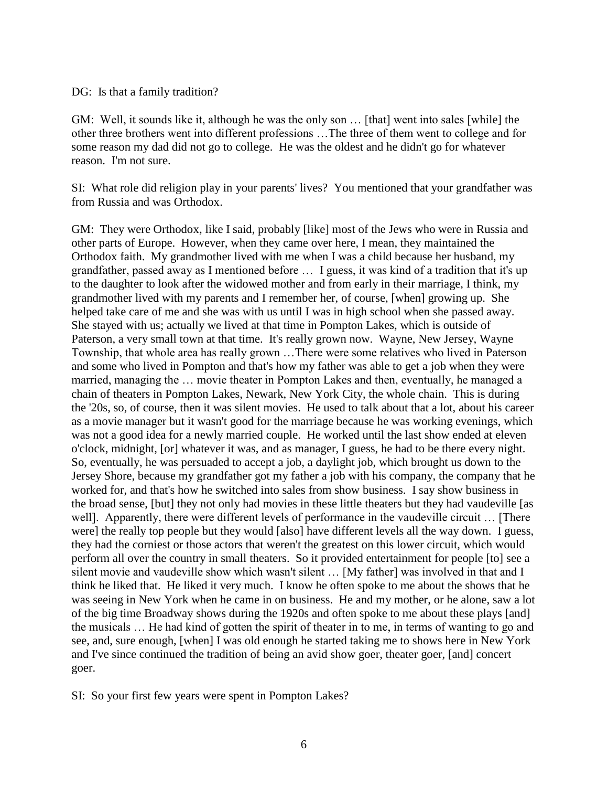#### DG: Is that a family tradition?

GM: Well, it sounds like it, although he was the only son … [that] went into sales [while] the other three brothers went into different professions …The three of them went to college and for some reason my dad did not go to college. He was the oldest and he didn't go for whatever reason. I'm not sure.

SI: What role did religion play in your parents' lives? You mentioned that your grandfather was from Russia and was Orthodox.

GM: They were Orthodox, like I said, probably [like] most of the Jews who were in Russia and other parts of Europe. However, when they came over here, I mean, they maintained the Orthodox faith. My grandmother lived with me when I was a child because her husband, my grandfather, passed away as I mentioned before … I guess, it was kind of a tradition that it's up to the daughter to look after the widowed mother and from early in their marriage, I think, my grandmother lived with my parents and I remember her, of course, [when] growing up. She helped take care of me and she was with us until I was in high school when she passed away. She stayed with us; actually we lived at that time in Pompton Lakes, which is outside of Paterson, a very small town at that time. It's really grown now. Wayne, New Jersey, Wayne Township, that whole area has really grown …There were some relatives who lived in Paterson and some who lived in Pompton and that's how my father was able to get a job when they were married, managing the … movie theater in Pompton Lakes and then, eventually, he managed a chain of theaters in Pompton Lakes, Newark, New York City, the whole chain. This is during the '20s, so, of course, then it was silent movies. He used to talk about that a lot, about his career as a movie manager but it wasn't good for the marriage because he was working evenings, which was not a good idea for a newly married couple. He worked until the last show ended at eleven o'clock, midnight, [or] whatever it was, and as manager, I guess, he had to be there every night. So, eventually, he was persuaded to accept a job, a daylight job, which brought us down to the Jersey Shore, because my grandfather got my father a job with his company, the company that he worked for, and that's how he switched into sales from show business. I say show business in the broad sense, [but] they not only had movies in these little theaters but they had vaudeville [as well]. Apparently, there were different levels of performance in the vaudeville circuit ... [There were] the really top people but they would [also] have different levels all the way down. I guess, they had the corniest or those actors that weren't the greatest on this lower circuit, which would perform all over the country in small theaters. So it provided entertainment for people [to] see a silent movie and vaudeville show which wasn't silent … [My father] was involved in that and I think he liked that. He liked it very much. I know he often spoke to me about the shows that he was seeing in New York when he came in on business. He and my mother, or he alone, saw a lot of the big time Broadway shows during the 1920s and often spoke to me about these plays [and] the musicals … He had kind of gotten the spirit of theater in to me, in terms of wanting to go and see, and, sure enough, [when] I was old enough he started taking me to shows here in New York and I've since continued the tradition of being an avid show goer, theater goer, [and] concert goer.

SI: So your first few years were spent in Pompton Lakes?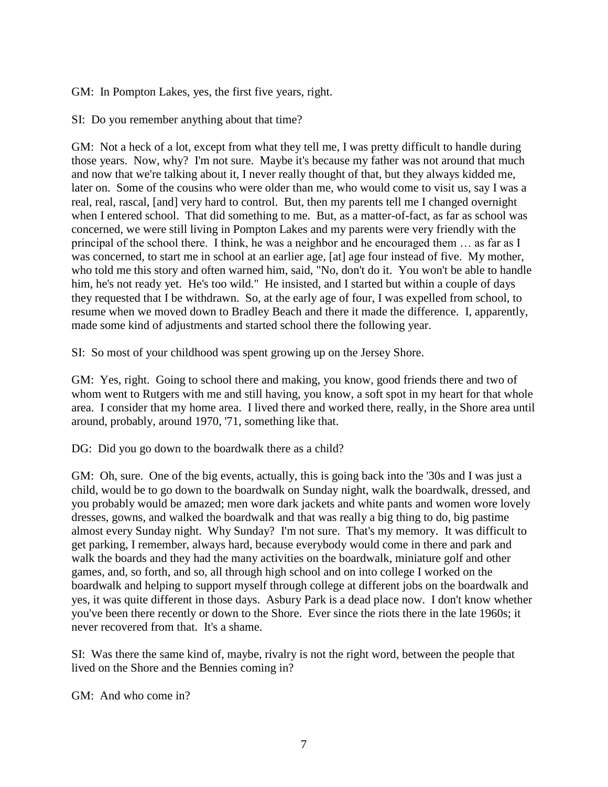GM: In Pompton Lakes, yes, the first five years, right.

SI: Do you remember anything about that time?

GM: Not a heck of a lot, except from what they tell me, I was pretty difficult to handle during those years. Now, why? I'm not sure. Maybe it's because my father was not around that much and now that we're talking about it, I never really thought of that, but they always kidded me, later on. Some of the cousins who were older than me, who would come to visit us, say I was a real, real, rascal, [and] very hard to control. But, then my parents tell me I changed overnight when I entered school. That did something to me. But, as a matter-of-fact, as far as school was concerned, we were still living in Pompton Lakes and my parents were very friendly with the principal of the school there. I think, he was a neighbor and he encouraged them … as far as I was concerned, to start me in school at an earlier age, [at] age four instead of five. My mother, who told me this story and often warned him, said, "No, don't do it. You won't be able to handle him, he's not ready yet. He's too wild." He insisted, and I started but within a couple of days they requested that I be withdrawn. So, at the early age of four, I was expelled from school, to resume when we moved down to Bradley Beach and there it made the difference. I, apparently, made some kind of adjustments and started school there the following year.

SI: So most of your childhood was spent growing up on the Jersey Shore.

GM: Yes, right. Going to school there and making, you know, good friends there and two of whom went to Rutgers with me and still having, you know, a soft spot in my heart for that whole area. I consider that my home area. I lived there and worked there, really, in the Shore area until around, probably, around 1970, '71, something like that.

DG: Did you go down to the boardwalk there as a child?

GM: Oh, sure. One of the big events, actually, this is going back into the '30s and I was just a child, would be to go down to the boardwalk on Sunday night, walk the boardwalk, dressed, and you probably would be amazed; men wore dark jackets and white pants and women wore lovely dresses, gowns, and walked the boardwalk and that was really a big thing to do, big pastime almost every Sunday night. Why Sunday? I'm not sure. That's my memory. It was difficult to get parking, I remember, always hard, because everybody would come in there and park and walk the boards and they had the many activities on the boardwalk, miniature golf and other games, and, so forth, and so, all through high school and on into college I worked on the boardwalk and helping to support myself through college at different jobs on the boardwalk and yes, it was quite different in those days. Asbury Park is a dead place now. I don't know whether you've been there recently or down to the Shore. Ever since the riots there in the late 1960s; it never recovered from that. It's a shame.

SI: Was there the same kind of, maybe, rivalry is not the right word, between the people that lived on the Shore and the Bennies coming in?

GM: And who come in?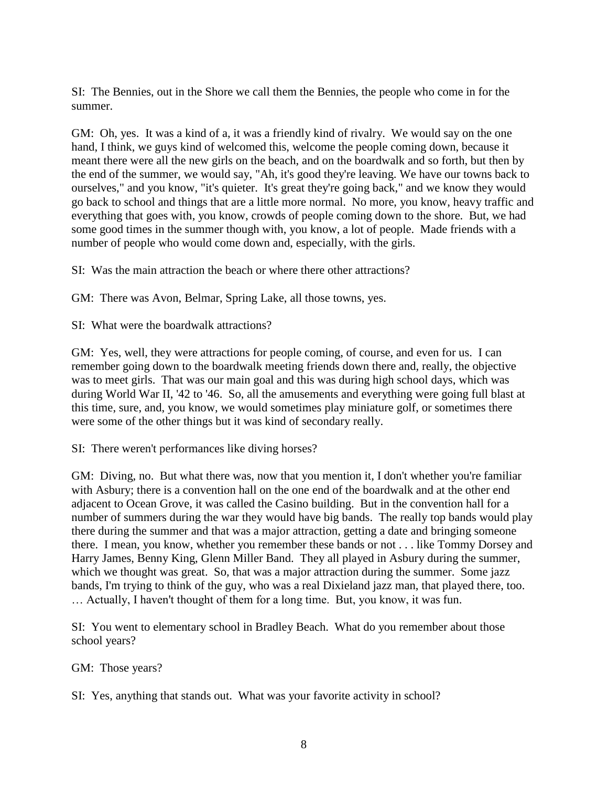SI: The Bennies, out in the Shore we call them the Bennies, the people who come in for the summer.

GM: Oh, yes. It was a kind of a, it was a friendly kind of rivalry. We would say on the one hand, I think, we guys kind of welcomed this, welcome the people coming down, because it meant there were all the new girls on the beach, and on the boardwalk and so forth, but then by the end of the summer, we would say, "Ah, it's good they're leaving. We have our towns back to ourselves," and you know, "it's quieter. It's great they're going back," and we know they would go back to school and things that are a little more normal. No more, you know, heavy traffic and everything that goes with, you know, crowds of people coming down to the shore. But, we had some good times in the summer though with, you know, a lot of people. Made friends with a number of people who would come down and, especially, with the girls.

SI: Was the main attraction the beach or where there other attractions?

GM: There was Avon, Belmar, Spring Lake, all those towns, yes.

SI: What were the boardwalk attractions?

GM: Yes, well, they were attractions for people coming, of course, and even for us. I can remember going down to the boardwalk meeting friends down there and, really, the objective was to meet girls. That was our main goal and this was during high school days, which was during World War II, '42 to '46. So, all the amusements and everything were going full blast at this time, sure, and, you know, we would sometimes play miniature golf, or sometimes there were some of the other things but it was kind of secondary really.

SI: There weren't performances like diving horses?

GM: Diving, no. But what there was, now that you mention it, I don't whether you're familiar with Asbury; there is a convention hall on the one end of the boardwalk and at the other end adjacent to Ocean Grove, it was called the Casino building. But in the convention hall for a number of summers during the war they would have big bands. The really top bands would play there during the summer and that was a major attraction, getting a date and bringing someone there. I mean, you know, whether you remember these bands or not . . . like Tommy Dorsey and Harry James, Benny King, Glenn Miller Band. They all played in Asbury during the summer, which we thought was great. So, that was a major attraction during the summer. Some jazz bands, I'm trying to think of the guy, who was a real Dixieland jazz man, that played there, too. … Actually, I haven't thought of them for a long time. But, you know, it was fun.

SI: You went to elementary school in Bradley Beach. What do you remember about those school years?

GM: Those years?

SI: Yes, anything that stands out. What was your favorite activity in school?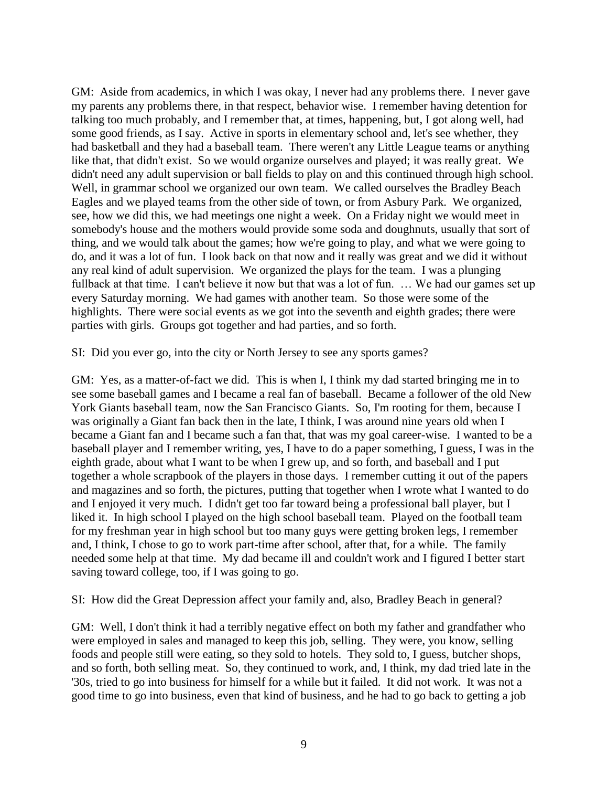GM: Aside from academics, in which I was okay, I never had any problems there. I never gave my parents any problems there, in that respect, behavior wise. I remember having detention for talking too much probably, and I remember that, at times, happening, but, I got along well, had some good friends, as I say. Active in sports in elementary school and, let's see whether, they had basketball and they had a baseball team. There weren't any Little League teams or anything like that, that didn't exist. So we would organize ourselves and played; it was really great. We didn't need any adult supervision or ball fields to play on and this continued through high school. Well, in grammar school we organized our own team. We called ourselves the Bradley Beach Eagles and we played teams from the other side of town, or from Asbury Park. We organized, see, how we did this, we had meetings one night a week. On a Friday night we would meet in somebody's house and the mothers would provide some soda and doughnuts, usually that sort of thing, and we would talk about the games; how we're going to play, and what we were going to do, and it was a lot of fun. I look back on that now and it really was great and we did it without any real kind of adult supervision. We organized the plays for the team. I was a plunging fullback at that time. I can't believe it now but that was a lot of fun. ... We had our games set up every Saturday morning. We had games with another team. So those were some of the highlights. There were social events as we got into the seventh and eighth grades; there were parties with girls. Groups got together and had parties, and so forth.

SI: Did you ever go, into the city or North Jersey to see any sports games?

GM: Yes, as a matter-of-fact we did. This is when I, I think my dad started bringing me in to see some baseball games and I became a real fan of baseball. Became a follower of the old New York Giants baseball team, now the San Francisco Giants. So, I'm rooting for them, because I was originally a Giant fan back then in the late, I think, I was around nine years old when I became a Giant fan and I became such a fan that, that was my goal career-wise. I wanted to be a baseball player and I remember writing, yes, I have to do a paper something, I guess, I was in the eighth grade, about what I want to be when I grew up, and so forth, and baseball and I put together a whole scrapbook of the players in those days. I remember cutting it out of the papers and magazines and so forth, the pictures, putting that together when I wrote what I wanted to do and I enjoyed it very much. I didn't get too far toward being a professional ball player, but I liked it. In high school I played on the high school baseball team. Played on the football team for my freshman year in high school but too many guys were getting broken legs, I remember and, I think, I chose to go to work part-time after school, after that, for a while. The family needed some help at that time. My dad became ill and couldn't work and I figured I better start saving toward college, too, if I was going to go.

SI: How did the Great Depression affect your family and, also, Bradley Beach in general?

GM: Well, I don't think it had a terribly negative effect on both my father and grandfather who were employed in sales and managed to keep this job, selling. They were, you know, selling foods and people still were eating, so they sold to hotels. They sold to, I guess, butcher shops, and so forth, both selling meat. So, they continued to work, and, I think, my dad tried late in the '30s, tried to go into business for himself for a while but it failed. It did not work. It was not a good time to go into business, even that kind of business, and he had to go back to getting a job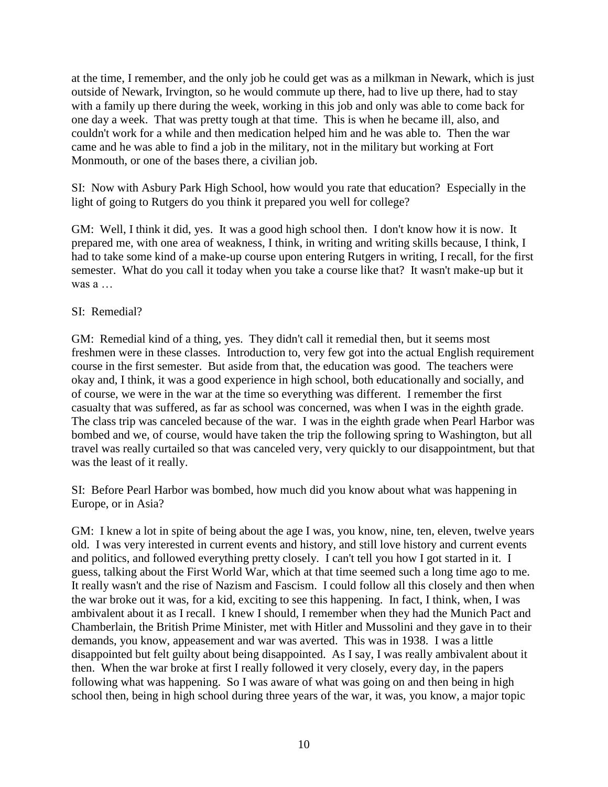at the time, I remember, and the only job he could get was as a milkman in Newark, which is just outside of Newark, Irvington, so he would commute up there, had to live up there, had to stay with a family up there during the week, working in this job and only was able to come back for one day a week. That was pretty tough at that time. This is when he became ill, also, and couldn't work for a while and then medication helped him and he was able to. Then the war came and he was able to find a job in the military, not in the military but working at Fort Monmouth, or one of the bases there, a civilian job.

SI: Now with Asbury Park High School, how would you rate that education? Especially in the light of going to Rutgers do you think it prepared you well for college?

GM: Well, I think it did, yes. It was a good high school then. I don't know how it is now. It prepared me, with one area of weakness, I think, in writing and writing skills because, I think, I had to take some kind of a make-up course upon entering Rutgers in writing, I recall, for the first semester. What do you call it today when you take a course like that? It wasn't make-up but it was a …

## SI: Remedial?

GM: Remedial kind of a thing, yes. They didn't call it remedial then, but it seems most freshmen were in these classes. Introduction to, very few got into the actual English requirement course in the first semester. But aside from that, the education was good. The teachers were okay and, I think, it was a good experience in high school, both educationally and socially, and of course, we were in the war at the time so everything was different. I remember the first casualty that was suffered, as far as school was concerned, was when I was in the eighth grade. The class trip was canceled because of the war. I was in the eighth grade when Pearl Harbor was bombed and we, of course, would have taken the trip the following spring to Washington, but all travel was really curtailed so that was canceled very, very quickly to our disappointment, but that was the least of it really.

SI: Before Pearl Harbor was bombed, how much did you know about what was happening in Europe, or in Asia?

GM: I knew a lot in spite of being about the age I was, you know, nine, ten, eleven, twelve years old. I was very interested in current events and history, and still love history and current events and politics, and followed everything pretty closely. I can't tell you how I got started in it. I guess, talking about the First World War, which at that time seemed such a long time ago to me. It really wasn't and the rise of Nazism and Fascism. I could follow all this closely and then when the war broke out it was, for a kid, exciting to see this happening. In fact, I think, when, I was ambivalent about it as I recall. I knew I should, I remember when they had the Munich Pact and Chamberlain, the British Prime Minister, met with Hitler and Mussolini and they gave in to their demands, you know, appeasement and war was averted. This was in 1938. I was a little disappointed but felt guilty about being disappointed. As I say, I was really ambivalent about it then. When the war broke at first I really followed it very closely, every day, in the papers following what was happening. So I was aware of what was going on and then being in high school then, being in high school during three years of the war, it was, you know, a major topic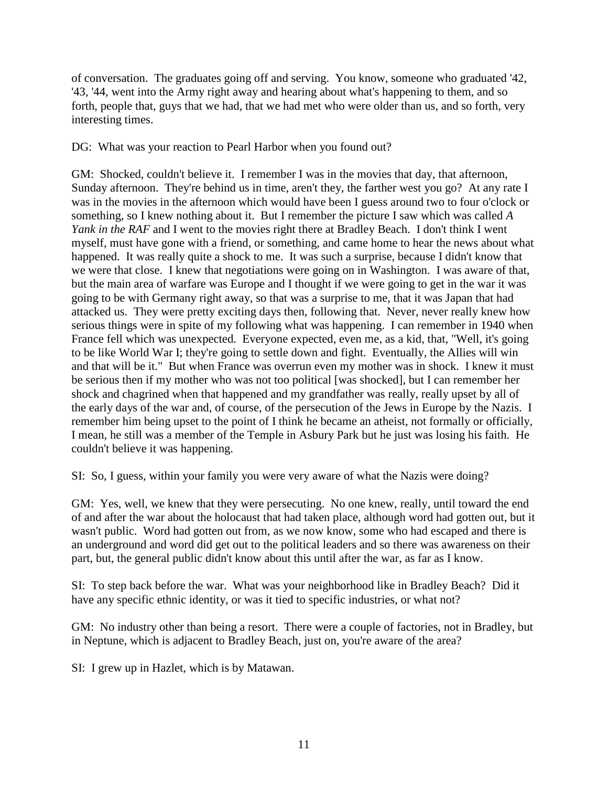of conversation. The graduates going off and serving. You know, someone who graduated '42, '43, '44, went into the Army right away and hearing about what's happening to them, and so forth, people that, guys that we had, that we had met who were older than us, and so forth, very interesting times.

DG: What was your reaction to Pearl Harbor when you found out?

GM: Shocked, couldn't believe it. I remember I was in the movies that day, that afternoon, Sunday afternoon. They're behind us in time, aren't they, the farther west you go? At any rate I was in the movies in the afternoon which would have been I guess around two to four o'clock or something, so I knew nothing about it. But I remember the picture I saw which was called *A Yank in the RAF* and I went to the movies right there at Bradley Beach. I don't think I went myself, must have gone with a friend, or something, and came home to hear the news about what happened. It was really quite a shock to me. It was such a surprise, because I didn't know that we were that close. I knew that negotiations were going on in Washington. I was aware of that, but the main area of warfare was Europe and I thought if we were going to get in the war it was going to be with Germany right away, so that was a surprise to me, that it was Japan that had attacked us. They were pretty exciting days then, following that. Never, never really knew how serious things were in spite of my following what was happening. I can remember in 1940 when France fell which was unexpected. Everyone expected, even me, as a kid, that, "Well, it's going to be like World War I; they're going to settle down and fight. Eventually, the Allies will win and that will be it." But when France was overrun even my mother was in shock. I knew it must be serious then if my mother who was not too political [was shocked], but I can remember her shock and chagrined when that happened and my grandfather was really, really upset by all of the early days of the war and, of course, of the persecution of the Jews in Europe by the Nazis. I remember him being upset to the point of I think he became an atheist, not formally or officially, I mean, he still was a member of the Temple in Asbury Park but he just was losing his faith. He couldn't believe it was happening.

SI: So, I guess, within your family you were very aware of what the Nazis were doing?

GM: Yes, well, we knew that they were persecuting. No one knew, really, until toward the end of and after the war about the holocaust that had taken place, although word had gotten out, but it wasn't public. Word had gotten out from, as we now know, some who had escaped and there is an underground and word did get out to the political leaders and so there was awareness on their part, but, the general public didn't know about this until after the war, as far as I know.

SI: To step back before the war. What was your neighborhood like in Bradley Beach? Did it have any specific ethnic identity, or was it tied to specific industries, or what not?

GM: No industry other than being a resort. There were a couple of factories, not in Bradley, but in Neptune, which is adjacent to Bradley Beach, just on, you're aware of the area?

SI: I grew up in Hazlet, which is by Matawan.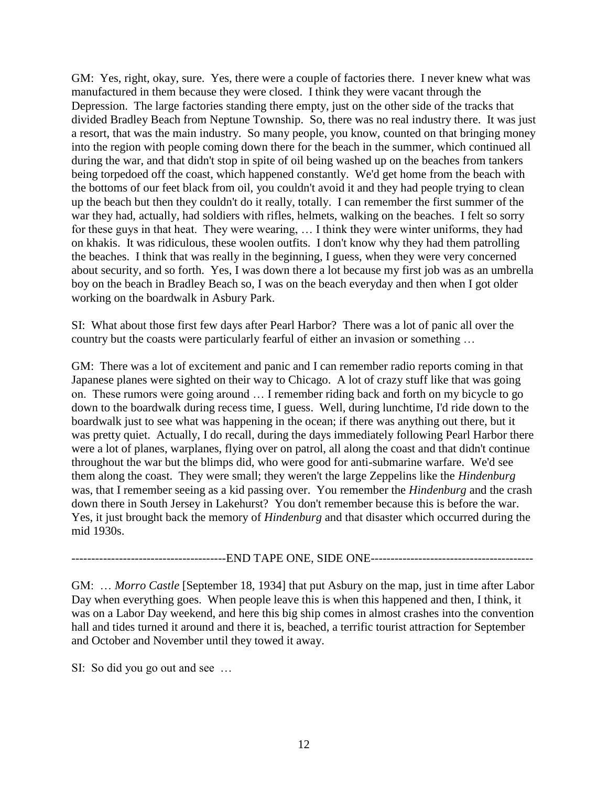GM: Yes, right, okay, sure. Yes, there were a couple of factories there. I never knew what was manufactured in them because they were closed. I think they were vacant through the Depression. The large factories standing there empty, just on the other side of the tracks that divided Bradley Beach from Neptune Township. So, there was no real industry there. It was just a resort, that was the main industry. So many people, you know, counted on that bringing money into the region with people coming down there for the beach in the summer, which continued all during the war, and that didn't stop in spite of oil being washed up on the beaches from tankers being torpedoed off the coast, which happened constantly. We'd get home from the beach with the bottoms of our feet black from oil, you couldn't avoid it and they had people trying to clean up the beach but then they couldn't do it really, totally. I can remember the first summer of the war they had, actually, had soldiers with rifles, helmets, walking on the beaches. I felt so sorry for these guys in that heat. They were wearing, … I think they were winter uniforms, they had on khakis. It was ridiculous, these woolen outfits. I don't know why they had them patrolling the beaches. I think that was really in the beginning, I guess, when they were very concerned about security, and so forth. Yes, I was down there a lot because my first job was as an umbrella boy on the beach in Bradley Beach so, I was on the beach everyday and then when I got older working on the boardwalk in Asbury Park.

SI: What about those first few days after Pearl Harbor? There was a lot of panic all over the country but the coasts were particularly fearful of either an invasion or something …

GM: There was a lot of excitement and panic and I can remember radio reports coming in that Japanese planes were sighted on their way to Chicago. A lot of crazy stuff like that was going on. These rumors were going around … I remember riding back and forth on my bicycle to go down to the boardwalk during recess time, I guess. Well, during lunchtime, I'd ride down to the boardwalk just to see what was happening in the ocean; if there was anything out there, but it was pretty quiet. Actually, I do recall, during the days immediately following Pearl Harbor there were a lot of planes, warplanes, flying over on patrol, all along the coast and that didn't continue throughout the war but the blimps did, who were good for anti-submarine warfare. We'd see them along the coast. They were small; they weren't the large Zeppelins like the *Hindenburg* was, that I remember seeing as a kid passing over. You remember the *Hindenburg* and the crash down there in South Jersey in Lakehurst? You don't remember because this is before the war. Yes, it just brought back the memory of *Hindenburg* and that disaster which occurred during the mid 1930s.

---------------------------------------END TAPE ONE, SIDE ONE-----------------------------------------

GM: … *Morro Castle* [September 18, 1934] that put Asbury on the map, just in time after Labor Day when everything goes. When people leave this is when this happened and then, I think, it was on a Labor Day weekend, and here this big ship comes in almost crashes into the convention hall and tides turned it around and there it is, beached, a terrific tourist attraction for September and October and November until they towed it away.

SI: So did you go out and see …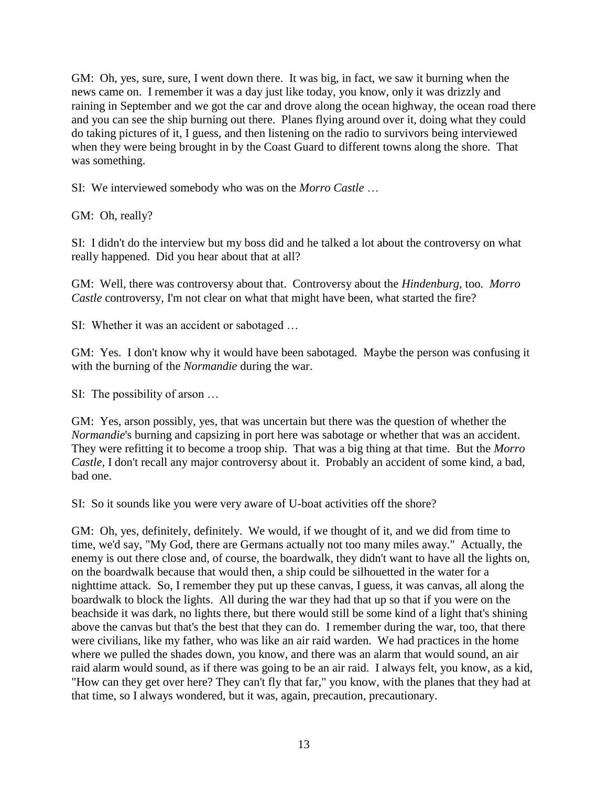GM: Oh, yes, sure, sure, I went down there. It was big, in fact, we saw it burning when the news came on. I remember it was a day just like today, you know, only it was drizzly and raining in September and we got the car and drove along the ocean highway, the ocean road there and you can see the ship burning out there. Planes flying around over it, doing what they could do taking pictures of it, I guess, and then listening on the radio to survivors being interviewed when they were being brought in by the Coast Guard to different towns along the shore. That was something.

SI: We interviewed somebody who was on the *Morro Castle* …

GM: Oh, really?

SI: I didn't do the interview but my boss did and he talked a lot about the controversy on what really happened. Did you hear about that at all?

GM: Well, there was controversy about that. Controversy about the *Hindenburg,* too. *Morro Castle* controversy, I'm not clear on what that might have been, what started the fire?

SI: Whether it was an accident or sabotaged …

GM: Yes. I don't know why it would have been sabotaged. Maybe the person was confusing it with the burning of the *Normandie* during the war.

SI: The possibility of arson …

GM: Yes, arson possibly, yes, that was uncertain but there was the question of whether the *Normandie*'s burning and capsizing in port here was sabotage or whether that was an accident. They were refitting it to become a troop ship. That was a big thing at that time. But the *Morro Castle,* I don't recall any major controversy about it. Probably an accident of some kind, a bad, bad one.

SI: So it sounds like you were very aware of U-boat activities off the shore?

GM: Oh, yes, definitely, definitely. We would, if we thought of it, and we did from time to time, we'd say, "My God, there are Germans actually not too many miles away." Actually, the enemy is out there close and, of course, the boardwalk, they didn't want to have all the lights on, on the boardwalk because that would then, a ship could be silhouetted in the water for a nighttime attack. So, I remember they put up these canvas, I guess, it was canvas, all along the boardwalk to block the lights. All during the war they had that up so that if you were on the beachside it was dark, no lights there, but there would still be some kind of a light that's shining above the canvas but that's the best that they can do. I remember during the war, too, that there were civilians, like my father, who was like an air raid warden. We had practices in the home where we pulled the shades down, you know, and there was an alarm that would sound, an air raid alarm would sound, as if there was going to be an air raid. I always felt, you know, as a kid, "How can they get over here? They can't fly that far," you know, with the planes that they had at that time, so I always wondered, but it was, again, precaution, precautionary.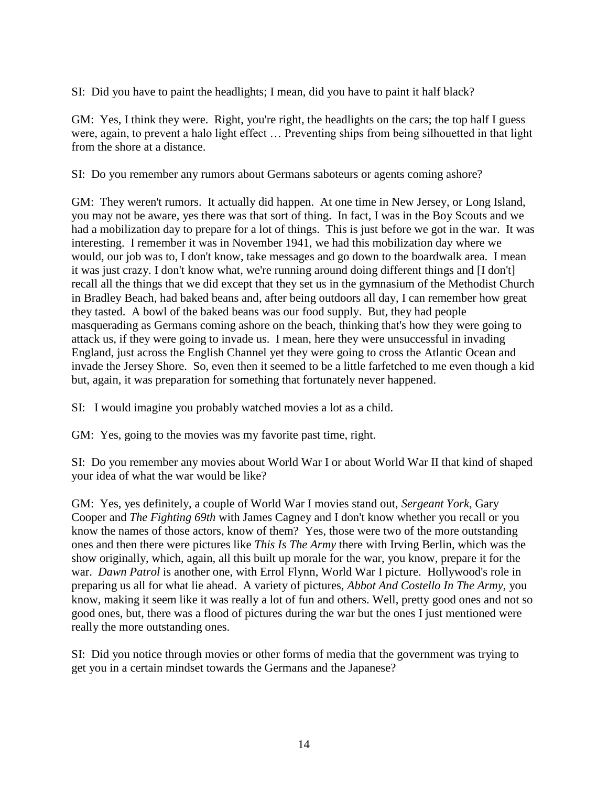SI: Did you have to paint the headlights; I mean, did you have to paint it half black?

GM: Yes, I think they were. Right, you're right, the headlights on the cars; the top half I guess were, again, to prevent a halo light effect … Preventing ships from being silhouetted in that light from the shore at a distance.

SI: Do you remember any rumors about Germans saboteurs or agents coming ashore?

GM: They weren't rumors. It actually did happen. At one time in New Jersey, or Long Island, you may not be aware, yes there was that sort of thing. In fact, I was in the Boy Scouts and we had a mobilization day to prepare for a lot of things. This is just before we got in the war. It was interesting. I remember it was in November 1941, we had this mobilization day where we would, our job was to, I don't know, take messages and go down to the boardwalk area. I mean it was just crazy. I don't know what, we're running around doing different things and [I don't] recall all the things that we did except that they set us in the gymnasium of the Methodist Church in Bradley Beach, had baked beans and, after being outdoors all day, I can remember how great they tasted. A bowl of the baked beans was our food supply. But, they had people masquerading as Germans coming ashore on the beach, thinking that's how they were going to attack us, if they were going to invade us. I mean, here they were unsuccessful in invading England, just across the English Channel yet they were going to cross the Atlantic Ocean and invade the Jersey Shore. So, even then it seemed to be a little farfetched to me even though a kid but, again, it was preparation for something that fortunately never happened.

SI: I would imagine you probably watched movies a lot as a child.

GM: Yes, going to the movies was my favorite past time, right.

SI: Do you remember any movies about World War I or about World War II that kind of shaped your idea of what the war would be like?

GM: Yes, yes definitely, a couple of World War I movies stand out, *Sergeant York*, Gary Cooper and *The Fighting 69th* with James Cagney and I don't know whether you recall or you know the names of those actors, know of them? Yes, those were two of the more outstanding ones and then there were pictures like *This Is The Army* there with Irving Berlin, which was the show originally, which, again, all this built up morale for the war, you know, prepare it for the war. *Dawn Patrol* is another one, with Errol Flynn, World War I picture. Hollywood's role in preparing us all for what lie ahead. A variety of pictures, *Abbot And Costello In The Army,* you know, making it seem like it was really a lot of fun and others. Well, pretty good ones and not so good ones, but, there was a flood of pictures during the war but the ones I just mentioned were really the more outstanding ones.

SI: Did you notice through movies or other forms of media that the government was trying to get you in a certain mindset towards the Germans and the Japanese?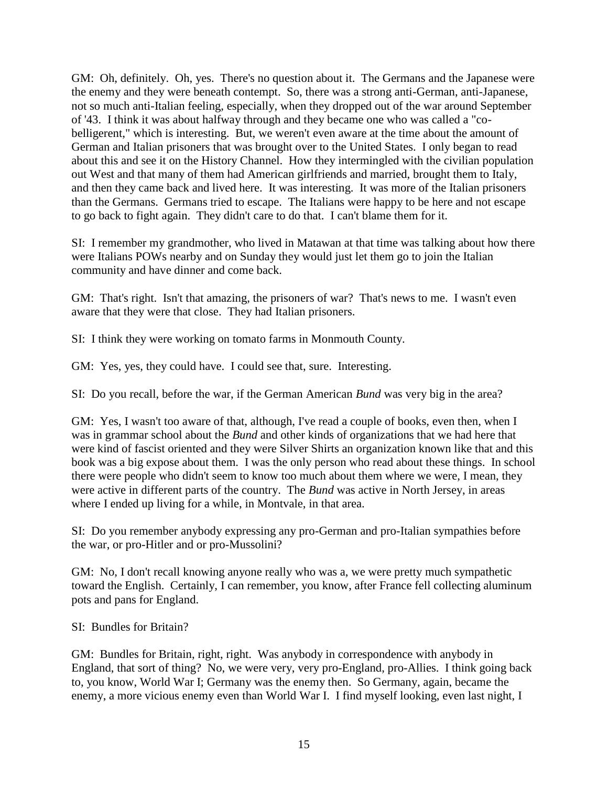GM: Oh, definitely. Oh, yes. There's no question about it. The Germans and the Japanese were the enemy and they were beneath contempt. So, there was a strong anti-German, anti-Japanese, not so much anti-Italian feeling, especially, when they dropped out of the war around September of '43. I think it was about halfway through and they became one who was called a "cobelligerent," which is interesting. But, we weren't even aware at the time about the amount of German and Italian prisoners that was brought over to the United States. I only began to read about this and see it on the History Channel. How they intermingled with the civilian population out West and that many of them had American girlfriends and married, brought them to Italy, and then they came back and lived here. It was interesting. It was more of the Italian prisoners than the Germans. Germans tried to escape. The Italians were happy to be here and not escape to go back to fight again. They didn't care to do that. I can't blame them for it.

SI: I remember my grandmother, who lived in Matawan at that time was talking about how there were Italians POWs nearby and on Sunday they would just let them go to join the Italian community and have dinner and come back.

GM: That's right. Isn't that amazing, the prisoners of war? That's news to me. I wasn't even aware that they were that close. They had Italian prisoners.

SI: I think they were working on tomato farms in Monmouth County.

GM: Yes, yes, they could have. I could see that, sure. Interesting.

SI: Do you recall, before the war, if the German American *Bund* was very big in the area?

GM: Yes, I wasn't too aware of that, although, I've read a couple of books, even then, when I was in grammar school about the *Bund* and other kinds of organizations that we had here that were kind of fascist oriented and they were Silver Shirts an organization known like that and this book was a big expose about them. I was the only person who read about these things. In school there were people who didn't seem to know too much about them where we were, I mean, they were active in different parts of the country. The *Bund* was active in North Jersey, in areas where I ended up living for a while, in Montvale, in that area.

SI: Do you remember anybody expressing any pro-German and pro-Italian sympathies before the war, or pro-Hitler and or pro-Mussolini?

GM: No, I don't recall knowing anyone really who was a, we were pretty much sympathetic toward the English. Certainly, I can remember, you know, after France fell collecting aluminum pots and pans for England.

SI: Bundles for Britain?

GM: Bundles for Britain, right, right. Was anybody in correspondence with anybody in England, that sort of thing? No, we were very, very pro-England, pro-Allies. I think going back to, you know, World War I; Germany was the enemy then. So Germany, again, became the enemy, a more vicious enemy even than World War I. I find myself looking, even last night, I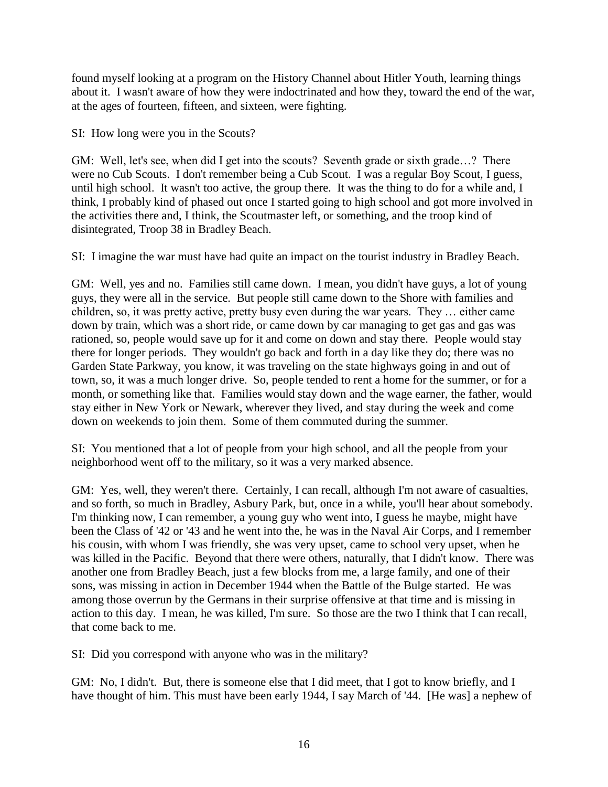found myself looking at a program on the History Channel about Hitler Youth, learning things about it. I wasn't aware of how they were indoctrinated and how they, toward the end of the war, at the ages of fourteen, fifteen, and sixteen, were fighting.

SI: How long were you in the Scouts?

GM: Well, let's see, when did I get into the scouts? Seventh grade or sixth grade...? There were no Cub Scouts. I don't remember being a Cub Scout. I was a regular Boy Scout, I guess, until high school. It wasn't too active, the group there. It was the thing to do for a while and, I think, I probably kind of phased out once I started going to high school and got more involved in the activities there and, I think, the Scoutmaster left, or something, and the troop kind of disintegrated, Troop 38 in Bradley Beach.

SI: I imagine the war must have had quite an impact on the tourist industry in Bradley Beach.

GM: Well, yes and no. Families still came down. I mean, you didn't have guys, a lot of young guys, they were all in the service. But people still came down to the Shore with families and children, so, it was pretty active, pretty busy even during the war years. They … either came down by train, which was a short ride, or came down by car managing to get gas and gas was rationed, so, people would save up for it and come on down and stay there. People would stay there for longer periods. They wouldn't go back and forth in a day like they do; there was no Garden State Parkway, you know, it was traveling on the state highways going in and out of town, so, it was a much longer drive. So, people tended to rent a home for the summer, or for a month, or something like that. Families would stay down and the wage earner, the father, would stay either in New York or Newark, wherever they lived, and stay during the week and come down on weekends to join them. Some of them commuted during the summer.

SI: You mentioned that a lot of people from your high school, and all the people from your neighborhood went off to the military, so it was a very marked absence.

GM: Yes, well, they weren't there. Certainly, I can recall, although I'm not aware of casualties, and so forth, so much in Bradley, Asbury Park, but, once in a while, you'll hear about somebody. I'm thinking now, I can remember, a young guy who went into, I guess he maybe, might have been the Class of '42 or '43 and he went into the, he was in the Naval Air Corps, and I remember his cousin, with whom I was friendly, she was very upset, came to school very upset, when he was killed in the Pacific. Beyond that there were others, naturally, that I didn't know. There was another one from Bradley Beach, just a few blocks from me, a large family, and one of their sons, was missing in action in December 1944 when the Battle of the Bulge started. He was among those overrun by the Germans in their surprise offensive at that time and is missing in action to this day. I mean, he was killed, I'm sure. So those are the two I think that I can recall, that come back to me.

SI: Did you correspond with anyone who was in the military?

GM: No, I didn't. But, there is someone else that I did meet, that I got to know briefly, and I have thought of him. This must have been early 1944, I say March of '44. [He was] a nephew of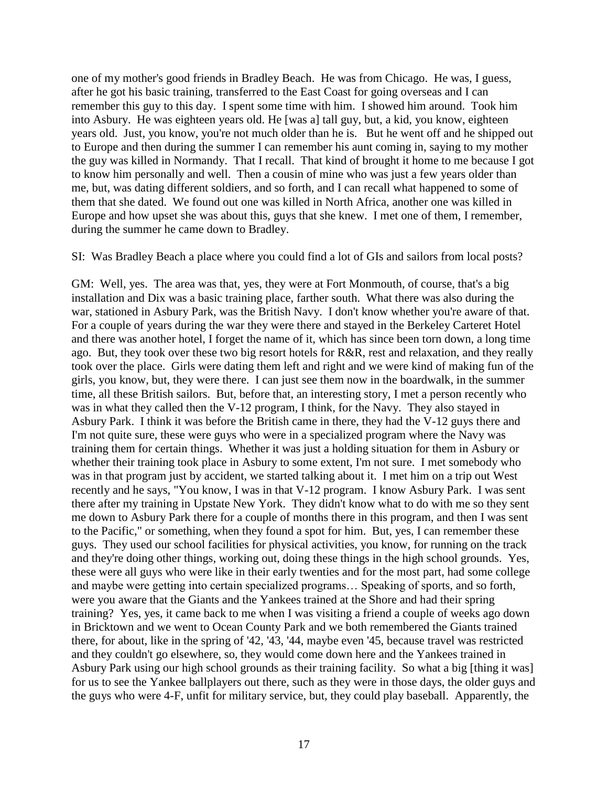one of my mother's good friends in Bradley Beach. He was from Chicago. He was, I guess, after he got his basic training, transferred to the East Coast for going overseas and I can remember this guy to this day. I spent some time with him. I showed him around. Took him into Asbury. He was eighteen years old. He [was a] tall guy, but, a kid, you know, eighteen years old. Just, you know, you're not much older than he is. But he went off and he shipped out to Europe and then during the summer I can remember his aunt coming in, saying to my mother the guy was killed in Normandy. That I recall. That kind of brought it home to me because I got to know him personally and well. Then a cousin of mine who was just a few years older than me, but, was dating different soldiers, and so forth, and I can recall what happened to some of them that she dated. We found out one was killed in North Africa, another one was killed in Europe and how upset she was about this, guys that she knew. I met one of them, I remember, during the summer he came down to Bradley.

#### SI: Was Bradley Beach a place where you could find a lot of GIs and sailors from local posts?

GM: Well, yes. The area was that, yes, they were at Fort Monmouth, of course, that's a big installation and Dix was a basic training place, farther south. What there was also during the war, stationed in Asbury Park, was the British Navy. I don't know whether you're aware of that. For a couple of years during the war they were there and stayed in the Berkeley Carteret Hotel and there was another hotel, I forget the name of it, which has since been torn down, a long time ago. But, they took over these two big resort hotels for R&R, rest and relaxation, and they really took over the place. Girls were dating them left and right and we were kind of making fun of the girls, you know, but, they were there. I can just see them now in the boardwalk, in the summer time, all these British sailors. But, before that, an interesting story, I met a person recently who was in what they called then the V-12 program, I think, for the Navy. They also stayed in Asbury Park. I think it was before the British came in there, they had the V-12 guys there and I'm not quite sure, these were guys who were in a specialized program where the Navy was training them for certain things. Whether it was just a holding situation for them in Asbury or whether their training took place in Asbury to some extent, I'm not sure. I met somebody who was in that program just by accident, we started talking about it. I met him on a trip out West recently and he says, "You know, I was in that V-12 program. I know Asbury Park. I was sent there after my training in Upstate New York. They didn't know what to do with me so they sent me down to Asbury Park there for a couple of months there in this program, and then I was sent to the Pacific," or something, when they found a spot for him. But, yes, I can remember these guys. They used our school facilities for physical activities, you know, for running on the track and they're doing other things, working out, doing these things in the high school grounds. Yes, these were all guys who were like in their early twenties and for the most part, had some college and maybe were getting into certain specialized programs… Speaking of sports, and so forth, were you aware that the Giants and the Yankees trained at the Shore and had their spring training? Yes, yes, it came back to me when I was visiting a friend a couple of weeks ago down in Bricktown and we went to Ocean County Park and we both remembered the Giants trained there, for about, like in the spring of '42, '43, '44, maybe even '45, because travel was restricted and they couldn't go elsewhere, so, they would come down here and the Yankees trained in Asbury Park using our high school grounds as their training facility. So what a big [thing it was] for us to see the Yankee ballplayers out there, such as they were in those days, the older guys and the guys who were 4-F, unfit for military service, but, they could play baseball. Apparently, the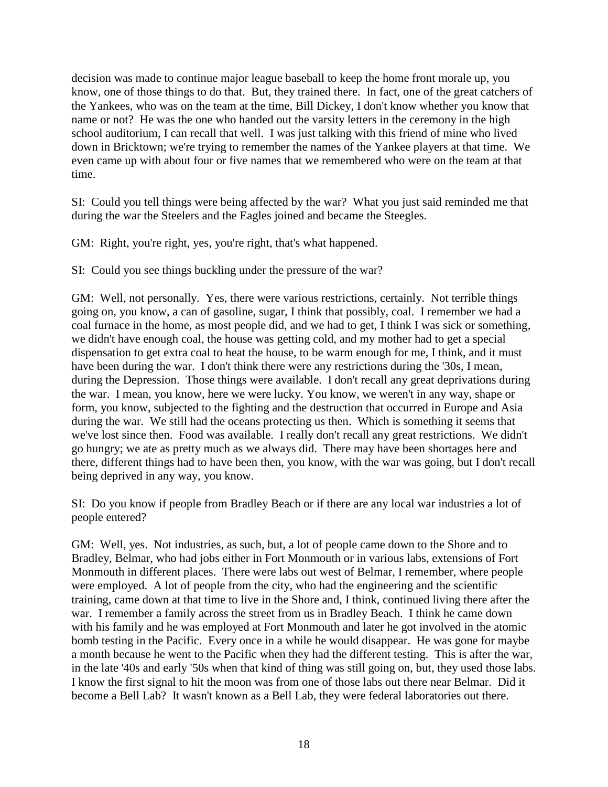decision was made to continue major league baseball to keep the home front morale up, you know, one of those things to do that. But, they trained there. In fact, one of the great catchers of the Yankees, who was on the team at the time, Bill Dickey, I don't know whether you know that name or not? He was the one who handed out the varsity letters in the ceremony in the high school auditorium, I can recall that well. I was just talking with this friend of mine who lived down in Bricktown; we're trying to remember the names of the Yankee players at that time. We even came up with about four or five names that we remembered who were on the team at that time.

SI: Could you tell things were being affected by the war? What you just said reminded me that during the war the Steelers and the Eagles joined and became the Steegles.

GM: Right, you're right, yes, you're right, that's what happened.

SI: Could you see things buckling under the pressure of the war?

GM: Well, not personally. Yes, there were various restrictions, certainly. Not terrible things going on, you know, a can of gasoline, sugar, I think that possibly, coal. I remember we had a coal furnace in the home, as most people did, and we had to get, I think I was sick or something, we didn't have enough coal, the house was getting cold, and my mother had to get a special dispensation to get extra coal to heat the house, to be warm enough for me, I think, and it must have been during the war. I don't think there were any restrictions during the '30s, I mean, during the Depression. Those things were available. I don't recall any great deprivations during the war. I mean, you know, here we were lucky. You know, we weren't in any way, shape or form, you know, subjected to the fighting and the destruction that occurred in Europe and Asia during the war. We still had the oceans protecting us then. Which is something it seems that we've lost since then. Food was available. I really don't recall any great restrictions. We didn't go hungry; we ate as pretty much as we always did. There may have been shortages here and there, different things had to have been then, you know, with the war was going, but I don't recall being deprived in any way, you know.

SI: Do you know if people from Bradley Beach or if there are any local war industries a lot of people entered?

GM: Well, yes. Not industries, as such, but, a lot of people came down to the Shore and to Bradley, Belmar, who had jobs either in Fort Monmouth or in various labs, extensions of Fort Monmouth in different places. There were labs out west of Belmar, I remember, where people were employed. A lot of people from the city, who had the engineering and the scientific training, came down at that time to live in the Shore and, I think, continued living there after the war. I remember a family across the street from us in Bradley Beach. I think he came down with his family and he was employed at Fort Monmouth and later he got involved in the atomic bomb testing in the Pacific. Every once in a while he would disappear. He was gone for maybe a month because he went to the Pacific when they had the different testing. This is after the war, in the late '40s and early '50s when that kind of thing was still going on, but, they used those labs. I know the first signal to hit the moon was from one of those labs out there near Belmar. Did it become a Bell Lab? It wasn't known as a Bell Lab, they were federal laboratories out there.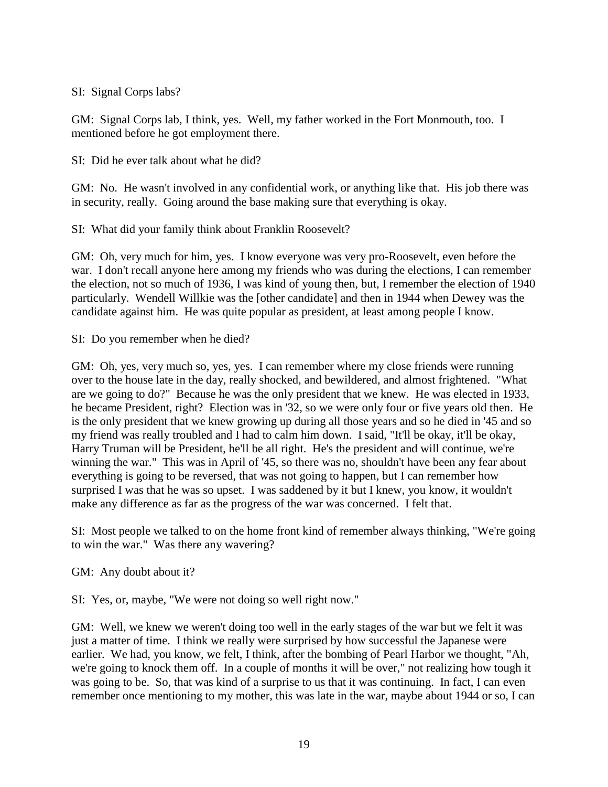### SI: Signal Corps labs?

GM: Signal Corps lab, I think, yes. Well, my father worked in the Fort Monmouth, too. I mentioned before he got employment there.

SI: Did he ever talk about what he did?

GM: No. He wasn't involved in any confidential work, or anything like that. His job there was in security, really. Going around the base making sure that everything is okay.

SI: What did your family think about Franklin Roosevelt?

GM: Oh, very much for him, yes. I know everyone was very pro-Roosevelt, even before the war. I don't recall anyone here among my friends who was during the elections, I can remember the election, not so much of 1936, I was kind of young then, but, I remember the election of 1940 particularly. Wendell Willkie was the [other candidate] and then in 1944 when Dewey was the candidate against him. He was quite popular as president, at least among people I know.

SI: Do you remember when he died?

GM: Oh, yes, very much so, yes, yes. I can remember where my close friends were running over to the house late in the day, really shocked, and bewildered, and almost frightened. "What are we going to do?" Because he was the only president that we knew. He was elected in 1933, he became President, right? Election was in '32, so we were only four or five years old then. He is the only president that we knew growing up during all those years and so he died in '45 and so my friend was really troubled and I had to calm him down. I said, "It'll be okay, it'll be okay, Harry Truman will be President, he'll be all right. He's the president and will continue, we're winning the war." This was in April of '45, so there was no, shouldn't have been any fear about everything is going to be reversed, that was not going to happen, but I can remember how surprised I was that he was so upset. I was saddened by it but I knew, you know, it wouldn't make any difference as far as the progress of the war was concerned. I felt that.

SI: Most people we talked to on the home front kind of remember always thinking, "We're going to win the war." Was there any wavering?

GM: Any doubt about it?

SI: Yes, or, maybe, "We were not doing so well right now."

GM: Well, we knew we weren't doing too well in the early stages of the war but we felt it was just a matter of time. I think we really were surprised by how successful the Japanese were earlier. We had, you know, we felt, I think, after the bombing of Pearl Harbor we thought, "Ah, we're going to knock them off. In a couple of months it will be over," not realizing how tough it was going to be. So, that was kind of a surprise to us that it was continuing. In fact, I can even remember once mentioning to my mother, this was late in the war, maybe about 1944 or so, I can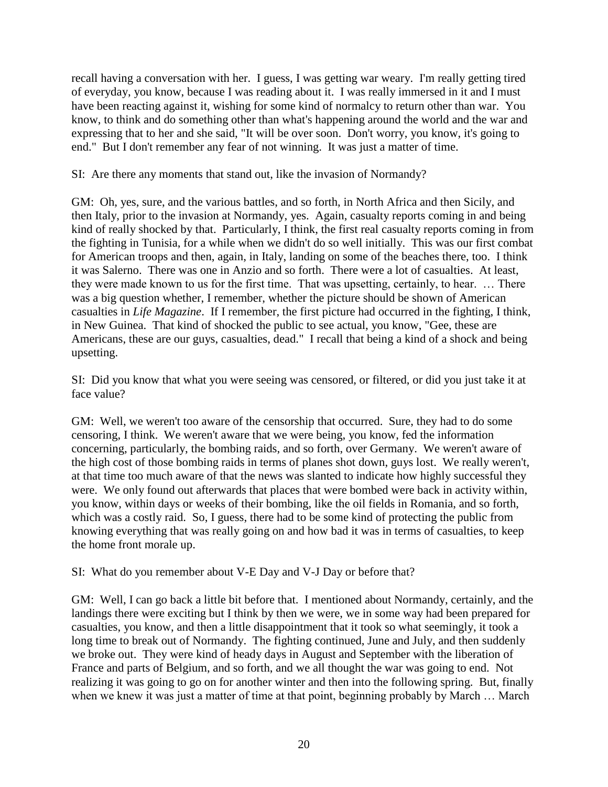recall having a conversation with her. I guess, I was getting war weary. I'm really getting tired of everyday, you know, because I was reading about it. I was really immersed in it and I must have been reacting against it, wishing for some kind of normalcy to return other than war. You know, to think and do something other than what's happening around the world and the war and expressing that to her and she said, "It will be over soon. Don't worry, you know, it's going to end." But I don't remember any fear of not winning. It was just a matter of time.

SI: Are there any moments that stand out, like the invasion of Normandy?

GM: Oh, yes, sure, and the various battles, and so forth, in North Africa and then Sicily, and then Italy, prior to the invasion at Normandy, yes. Again, casualty reports coming in and being kind of really shocked by that. Particularly, I think, the first real casualty reports coming in from the fighting in Tunisia, for a while when we didn't do so well initially. This was our first combat for American troops and then, again, in Italy, landing on some of the beaches there, too. I think it was Salerno. There was one in Anzio and so forth. There were a lot of casualties. At least, they were made known to us for the first time. That was upsetting, certainly, to hear. … There was a big question whether, I remember, whether the picture should be shown of American casualties in *Life Magazine*. If I remember, the first picture had occurred in the fighting, I think, in New Guinea. That kind of shocked the public to see actual, you know, "Gee, these are Americans, these are our guys, casualties, dead." I recall that being a kind of a shock and being upsetting.

SI: Did you know that what you were seeing was censored, or filtered, or did you just take it at face value?

GM: Well, we weren't too aware of the censorship that occurred. Sure, they had to do some censoring, I think. We weren't aware that we were being, you know, fed the information concerning, particularly, the bombing raids, and so forth, over Germany. We weren't aware of the high cost of those bombing raids in terms of planes shot down, guys lost. We really weren't, at that time too much aware of that the news was slanted to indicate how highly successful they were. We only found out afterwards that places that were bombed were back in activity within, you know, within days or weeks of their bombing, like the oil fields in Romania, and so forth, which was a costly raid. So, I guess, there had to be some kind of protecting the public from knowing everything that was really going on and how bad it was in terms of casualties, to keep the home front morale up.

SI: What do you remember about V-E Day and V-J Day or before that?

GM: Well, I can go back a little bit before that. I mentioned about Normandy, certainly, and the landings there were exciting but I think by then we were, we in some way had been prepared for casualties, you know, and then a little disappointment that it took so what seemingly, it took a long time to break out of Normandy. The fighting continued, June and July, and then suddenly we broke out. They were kind of heady days in August and September with the liberation of France and parts of Belgium, and so forth, and we all thought the war was going to end. Not realizing it was going to go on for another winter and then into the following spring. But, finally when we knew it was just a matter of time at that point, beginning probably by March … March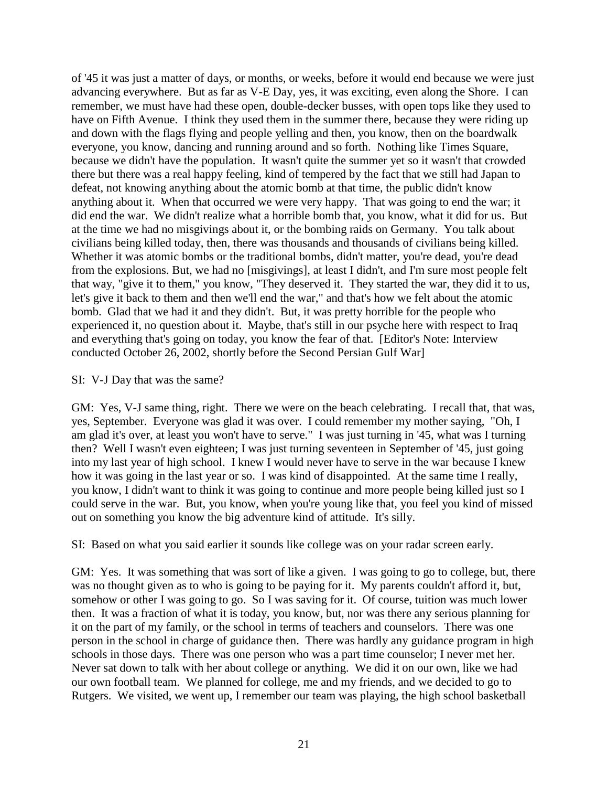of '45 it was just a matter of days, or months, or weeks, before it would end because we were just advancing everywhere. But as far as V-E Day, yes, it was exciting, even along the Shore. I can remember, we must have had these open, double-decker busses, with open tops like they used to have on Fifth Avenue. I think they used them in the summer there, because they were riding up and down with the flags flying and people yelling and then, you know, then on the boardwalk everyone, you know, dancing and running around and so forth. Nothing like Times Square, because we didn't have the population. It wasn't quite the summer yet so it wasn't that crowded there but there was a real happy feeling, kind of tempered by the fact that we still had Japan to defeat, not knowing anything about the atomic bomb at that time, the public didn't know anything about it. When that occurred we were very happy. That was going to end the war; it did end the war. We didn't realize what a horrible bomb that, you know, what it did for us. But at the time we had no misgivings about it, or the bombing raids on Germany. You talk about civilians being killed today, then, there was thousands and thousands of civilians being killed. Whether it was atomic bombs or the traditional bombs, didn't matter, you're dead, you're dead from the explosions. But, we had no [misgivings], at least I didn't, and I'm sure most people felt that way, "give it to them," you know, "They deserved it. They started the war, they did it to us, let's give it back to them and then we'll end the war," and that's how we felt about the atomic bomb. Glad that we had it and they didn't. But, it was pretty horrible for the people who experienced it, no question about it. Maybe, that's still in our psyche here with respect to Iraq and everything that's going on today, you know the fear of that. [Editor's Note: Interview conducted October 26, 2002, shortly before the Second Persian Gulf War]

SI: V-J Day that was the same?

GM: Yes, V-J same thing, right. There we were on the beach celebrating. I recall that, that was, yes, September. Everyone was glad it was over. I could remember my mother saying, "Oh, I am glad it's over, at least you won't have to serve." I was just turning in '45, what was I turning then? Well I wasn't even eighteen; I was just turning seventeen in September of '45, just going into my last year of high school. I knew I would never have to serve in the war because I knew how it was going in the last year or so. I was kind of disappointed. At the same time I really, you know, I didn't want to think it was going to continue and more people being killed just so I could serve in the war. But, you know, when you're young like that, you feel you kind of missed out on something you know the big adventure kind of attitude. It's silly.

SI: Based on what you said earlier it sounds like college was on your radar screen early.

GM: Yes. It was something that was sort of like a given. I was going to go to college, but, there was no thought given as to who is going to be paying for it. My parents couldn't afford it, but, somehow or other I was going to go. So I was saving for it. Of course, tuition was much lower then. It was a fraction of what it is today, you know, but, nor was there any serious planning for it on the part of my family, or the school in terms of teachers and counselors. There was one person in the school in charge of guidance then. There was hardly any guidance program in high schools in those days. There was one person who was a part time counselor; I never met her. Never sat down to talk with her about college or anything. We did it on our own, like we had our own football team. We planned for college, me and my friends, and we decided to go to Rutgers. We visited, we went up, I remember our team was playing, the high school basketball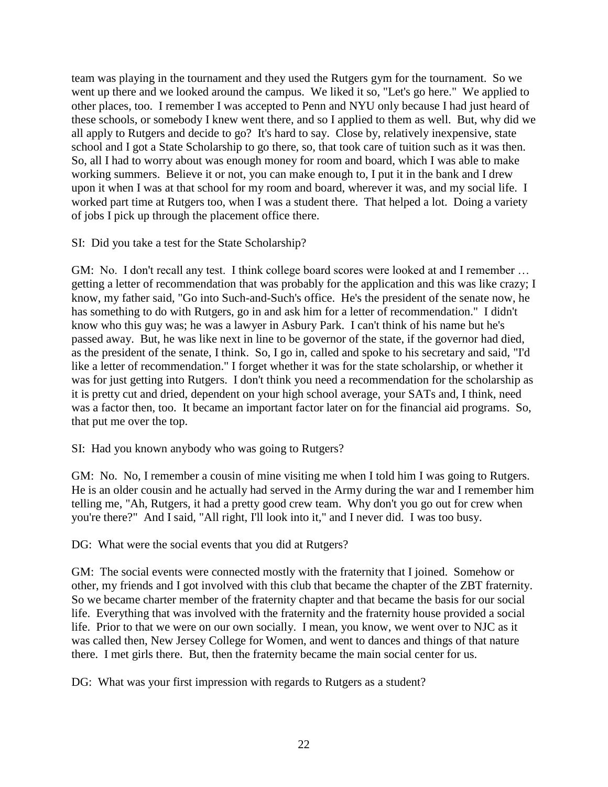team was playing in the tournament and they used the Rutgers gym for the tournament. So we went up there and we looked around the campus. We liked it so, "Let's go here." We applied to other places, too. I remember I was accepted to Penn and NYU only because I had just heard of these schools, or somebody I knew went there, and so I applied to them as well. But, why did we all apply to Rutgers and decide to go? It's hard to say. Close by, relatively inexpensive, state school and I got a State Scholarship to go there, so, that took care of tuition such as it was then. So, all I had to worry about was enough money for room and board, which I was able to make working summers. Believe it or not, you can make enough to, I put it in the bank and I drew upon it when I was at that school for my room and board, wherever it was, and my social life. I worked part time at Rutgers too, when I was a student there. That helped a lot. Doing a variety of jobs I pick up through the placement office there.

SI: Did you take a test for the State Scholarship?

GM: No. I don't recall any test. I think college board scores were looked at and I remember ... getting a letter of recommendation that was probably for the application and this was like crazy; I know, my father said, "Go into Such-and-Such's office. He's the president of the senate now, he has something to do with Rutgers, go in and ask him for a letter of recommendation." I didn't know who this guy was; he was a lawyer in Asbury Park. I can't think of his name but he's passed away. But, he was like next in line to be governor of the state, if the governor had died, as the president of the senate, I think. So, I go in, called and spoke to his secretary and said, "I'd like a letter of recommendation." I forget whether it was for the state scholarship, or whether it was for just getting into Rutgers. I don't think you need a recommendation for the scholarship as it is pretty cut and dried, dependent on your high school average, your SATs and, I think, need was a factor then, too. It became an important factor later on for the financial aid programs. So, that put me over the top.

SI: Had you known anybody who was going to Rutgers?

GM: No. No, I remember a cousin of mine visiting me when I told him I was going to Rutgers. He is an older cousin and he actually had served in the Army during the war and I remember him telling me, "Ah, Rutgers, it had a pretty good crew team. Why don't you go out for crew when you're there?" And I said, "All right, I'll look into it," and I never did. I was too busy.

DG: What were the social events that you did at Rutgers?

GM: The social events were connected mostly with the fraternity that I joined. Somehow or other, my friends and I got involved with this club that became the chapter of the ZBT fraternity. So we became charter member of the fraternity chapter and that became the basis for our social life. Everything that was involved with the fraternity and the fraternity house provided a social life. Prior to that we were on our own socially. I mean, you know, we went over to NJC as it was called then, New Jersey College for Women, and went to dances and things of that nature there. I met girls there. But, then the fraternity became the main social center for us.

DG: What was your first impression with regards to Rutgers as a student?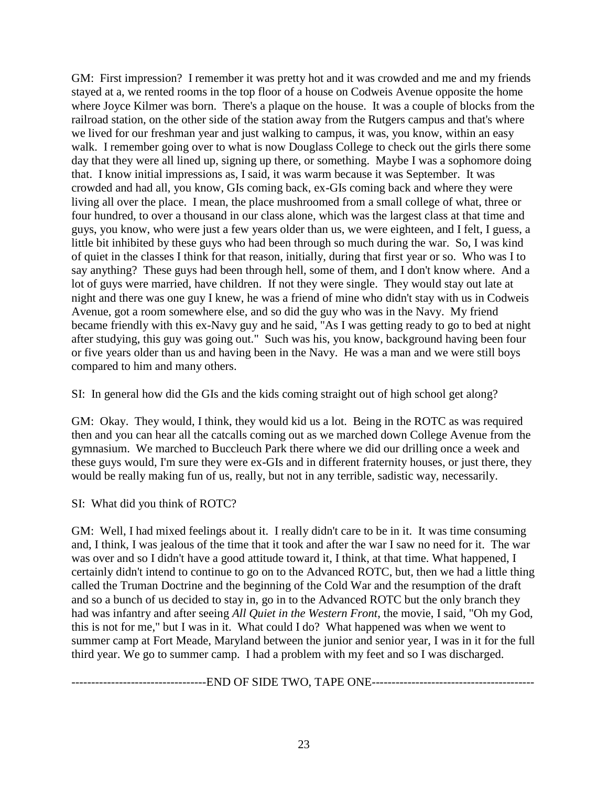GM: First impression? I remember it was pretty hot and it was crowded and me and my friends stayed at a, we rented rooms in the top floor of a house on Codweis Avenue opposite the home where Joyce Kilmer was born. There's a plaque on the house. It was a couple of blocks from the railroad station, on the other side of the station away from the Rutgers campus and that's where we lived for our freshman year and just walking to campus, it was, you know, within an easy walk. I remember going over to what is now Douglass College to check out the girls there some day that they were all lined up, signing up there, or something. Maybe I was a sophomore doing that. I know initial impressions as, I said, it was warm because it was September. It was crowded and had all, you know, GIs coming back, ex-GIs coming back and where they were living all over the place. I mean, the place mushroomed from a small college of what, three or four hundred, to over a thousand in our class alone, which was the largest class at that time and guys, you know, who were just a few years older than us, we were eighteen, and I felt, I guess, a little bit inhibited by these guys who had been through so much during the war. So, I was kind of quiet in the classes I think for that reason, initially, during that first year or so. Who was I to say anything? These guys had been through hell, some of them, and I don't know where. And a lot of guys were married, have children. If not they were single. They would stay out late at night and there was one guy I knew, he was a friend of mine who didn't stay with us in Codweis Avenue, got a room somewhere else, and so did the guy who was in the Navy. My friend became friendly with this ex-Navy guy and he said, "As I was getting ready to go to bed at night after studying, this guy was going out." Such was his, you know, background having been four or five years older than us and having been in the Navy. He was a man and we were still boys compared to him and many others.

SI: In general how did the GIs and the kids coming straight out of high school get along?

GM: Okay. They would, I think, they would kid us a lot. Being in the ROTC as was required then and you can hear all the catcalls coming out as we marched down College Avenue from the gymnasium. We marched to Buccleuch Park there where we did our drilling once a week and these guys would, I'm sure they were ex-GIs and in different fraternity houses, or just there, they would be really making fun of us, really, but not in any terrible, sadistic way, necessarily.

SI: What did you think of ROTC?

GM: Well, I had mixed feelings about it. I really didn't care to be in it. It was time consuming and, I think, I was jealous of the time that it took and after the war I saw no need for it. The war was over and so I didn't have a good attitude toward it, I think, at that time. What happened, I certainly didn't intend to continue to go on to the Advanced ROTC, but, then we had a little thing called the Truman Doctrine and the beginning of the Cold War and the resumption of the draft and so a bunch of us decided to stay in, go in to the Advanced ROTC but the only branch they had was infantry and after seeing *All Quiet in the Western Front*, the movie, I said, "Oh my God, this is not for me," but I was in it. What could I do? What happened was when we went to summer camp at Fort Meade, Maryland between the junior and senior year, I was in it for the full third year. We go to summer camp. I had a problem with my feet and so I was discharged.

----------------------------------END OF SIDE TWO, TAPE ONE-----------------------------------------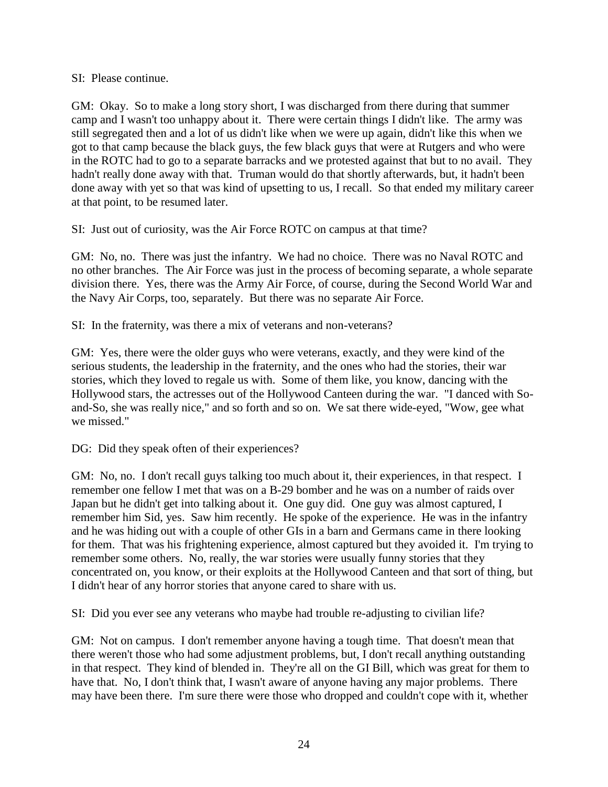### SI: Please continue.

GM: Okay. So to make a long story short, I was discharged from there during that summer camp and I wasn't too unhappy about it. There were certain things I didn't like. The army was still segregated then and a lot of us didn't like when we were up again, didn't like this when we got to that camp because the black guys, the few black guys that were at Rutgers and who were in the ROTC had to go to a separate barracks and we protested against that but to no avail. They hadn't really done away with that. Truman would do that shortly afterwards, but, it hadn't been done away with yet so that was kind of upsetting to us, I recall. So that ended my military career at that point, to be resumed later.

SI: Just out of curiosity, was the Air Force ROTC on campus at that time?

GM: No, no. There was just the infantry. We had no choice. There was no Naval ROTC and no other branches. The Air Force was just in the process of becoming separate, a whole separate division there. Yes, there was the Army Air Force, of course, during the Second World War and the Navy Air Corps, too, separately. But there was no separate Air Force.

SI: In the fraternity, was there a mix of veterans and non-veterans?

GM: Yes, there were the older guys who were veterans, exactly, and they were kind of the serious students, the leadership in the fraternity, and the ones who had the stories, their war stories, which they loved to regale us with. Some of them like, you know, dancing with the Hollywood stars, the actresses out of the Hollywood Canteen during the war. "I danced with Soand-So, she was really nice," and so forth and so on. We sat there wide-eyed, "Wow, gee what we missed."

DG: Did they speak often of their experiences?

GM: No, no. I don't recall guys talking too much about it, their experiences, in that respect. I remember one fellow I met that was on a B-29 bomber and he was on a number of raids over Japan but he didn't get into talking about it. One guy did. One guy was almost captured, I remember him Sid, yes. Saw him recently. He spoke of the experience. He was in the infantry and he was hiding out with a couple of other GIs in a barn and Germans came in there looking for them. That was his frightening experience, almost captured but they avoided it. I'm trying to remember some others. No, really, the war stories were usually funny stories that they concentrated on, you know, or their exploits at the Hollywood Canteen and that sort of thing, but I didn't hear of any horror stories that anyone cared to share with us.

SI: Did you ever see any veterans who maybe had trouble re-adjusting to civilian life?

GM: Not on campus. I don't remember anyone having a tough time. That doesn't mean that there weren't those who had some adjustment problems, but, I don't recall anything outstanding in that respect. They kind of blended in. They're all on the GI Bill, which was great for them to have that. No, I don't think that, I wasn't aware of anyone having any major problems. There may have been there. I'm sure there were those who dropped and couldn't cope with it, whether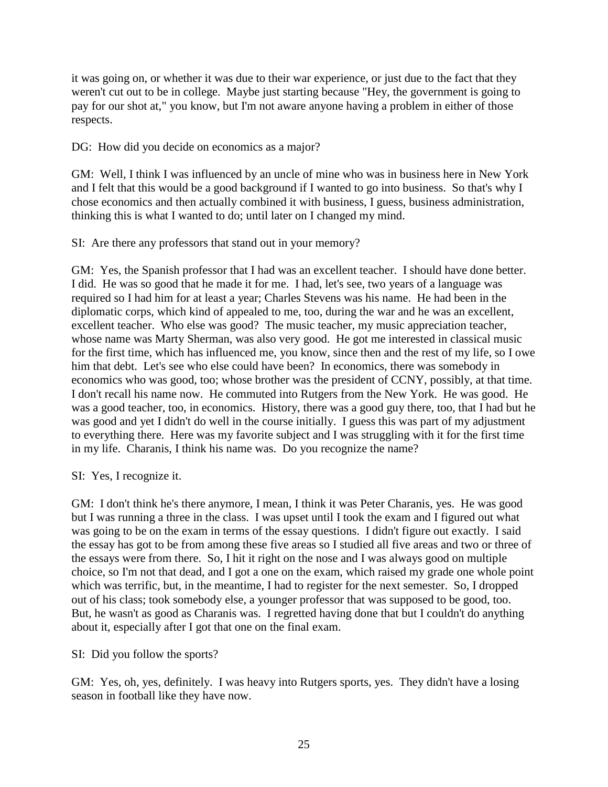it was going on, or whether it was due to their war experience, or just due to the fact that they weren't cut out to be in college. Maybe just starting because "Hey, the government is going to pay for our shot at," you know, but I'm not aware anyone having a problem in either of those respects.

DG: How did you decide on economics as a major?

GM: Well, I think I was influenced by an uncle of mine who was in business here in New York and I felt that this would be a good background if I wanted to go into business. So that's why I chose economics and then actually combined it with business, I guess, business administration, thinking this is what I wanted to do; until later on I changed my mind.

SI: Are there any professors that stand out in your memory?

GM: Yes, the Spanish professor that I had was an excellent teacher. I should have done better. I did. He was so good that he made it for me. I had, let's see, two years of a language was required so I had him for at least a year; Charles Stevens was his name. He had been in the diplomatic corps, which kind of appealed to me, too, during the war and he was an excellent, excellent teacher. Who else was good? The music teacher, my music appreciation teacher, whose name was Marty Sherman, was also very good. He got me interested in classical music for the first time, which has influenced me, you know, since then and the rest of my life, so I owe him that debt. Let's see who else could have been? In economics, there was somebody in economics who was good, too; whose brother was the president of CCNY, possibly, at that time. I don't recall his name now. He commuted into Rutgers from the New York. He was good. He was a good teacher, too, in economics. History, there was a good guy there, too, that I had but he was good and yet I didn't do well in the course initially. I guess this was part of my adjustment to everything there. Here was my favorite subject and I was struggling with it for the first time in my life. Charanis, I think his name was. Do you recognize the name?

SI: Yes, I recognize it.

GM: I don't think he's there anymore, I mean, I think it was Peter Charanis, yes. He was good but I was running a three in the class. I was upset until I took the exam and I figured out what was going to be on the exam in terms of the essay questions. I didn't figure out exactly. I said the essay has got to be from among these five areas so I studied all five areas and two or three of the essays were from there. So, I hit it right on the nose and I was always good on multiple choice, so I'm not that dead, and I got a one on the exam, which raised my grade one whole point which was terrific, but, in the meantime, I had to register for the next semester. So, I dropped out of his class; took somebody else, a younger professor that was supposed to be good, too. But, he wasn't as good as Charanis was. I regretted having done that but I couldn't do anything about it, especially after I got that one on the final exam.

SI: Did you follow the sports?

GM: Yes, oh, yes, definitely. I was heavy into Rutgers sports, yes. They didn't have a losing season in football like they have now.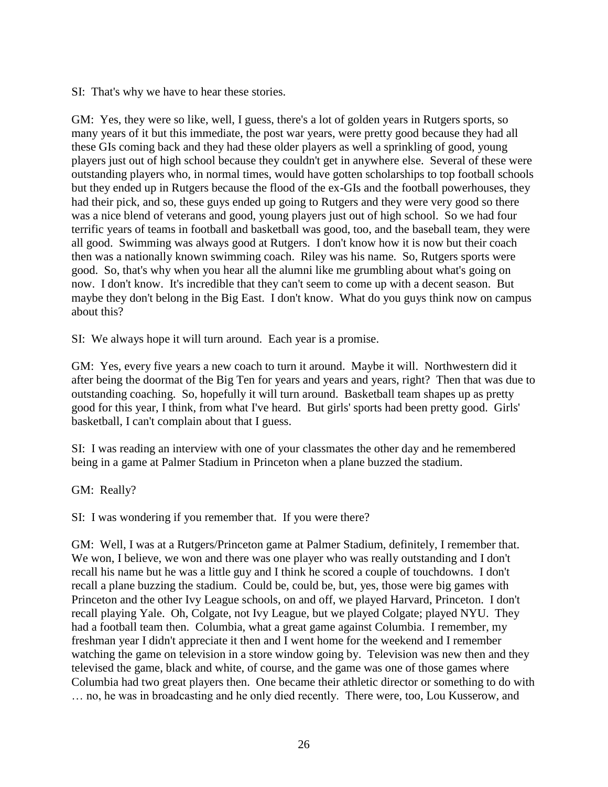SI: That's why we have to hear these stories.

GM: Yes, they were so like, well, I guess, there's a lot of golden years in Rutgers sports, so many years of it but this immediate, the post war years, were pretty good because they had all these GIs coming back and they had these older players as well a sprinkling of good, young players just out of high school because they couldn't get in anywhere else. Several of these were outstanding players who, in normal times, would have gotten scholarships to top football schools but they ended up in Rutgers because the flood of the ex-GIs and the football powerhouses, they had their pick, and so, these guys ended up going to Rutgers and they were very good so there was a nice blend of veterans and good, young players just out of high school. So we had four terrific years of teams in football and basketball was good, too, and the baseball team, they were all good. Swimming was always good at Rutgers. I don't know how it is now but their coach then was a nationally known swimming coach. Riley was his name. So, Rutgers sports were good. So, that's why when you hear all the alumni like me grumbling about what's going on now. I don't know. It's incredible that they can't seem to come up with a decent season. But maybe they don't belong in the Big East. I don't know. What do you guys think now on campus about this?

SI: We always hope it will turn around. Each year is a promise.

GM: Yes, every five years a new coach to turn it around. Maybe it will. Northwestern did it after being the doormat of the Big Ten for years and years and years, right? Then that was due to outstanding coaching. So, hopefully it will turn around. Basketball team shapes up as pretty good for this year, I think, from what I've heard. But girls' sports had been pretty good. Girls' basketball, I can't complain about that I guess.

SI: I was reading an interview with one of your classmates the other day and he remembered being in a game at Palmer Stadium in Princeton when a plane buzzed the stadium.

GM: Really?

SI: I was wondering if you remember that. If you were there?

GM: Well, I was at a Rutgers/Princeton game at Palmer Stadium, definitely, I remember that. We won, I believe, we won and there was one player who was really outstanding and I don't recall his name but he was a little guy and I think he scored a couple of touchdowns. I don't recall a plane buzzing the stadium. Could be, could be, but, yes, those were big games with Princeton and the other Ivy League schools, on and off, we played Harvard, Princeton. I don't recall playing Yale. Oh, Colgate, not Ivy League, but we played Colgate; played NYU. They had a football team then. Columbia, what a great game against Columbia. I remember, my freshman year I didn't appreciate it then and I went home for the weekend and I remember watching the game on television in a store window going by. Television was new then and they televised the game, black and white, of course, and the game was one of those games where Columbia had two great players then. One became their athletic director or something to do with … no, he was in broadcasting and he only died recently. There were, too, Lou Kusserow, and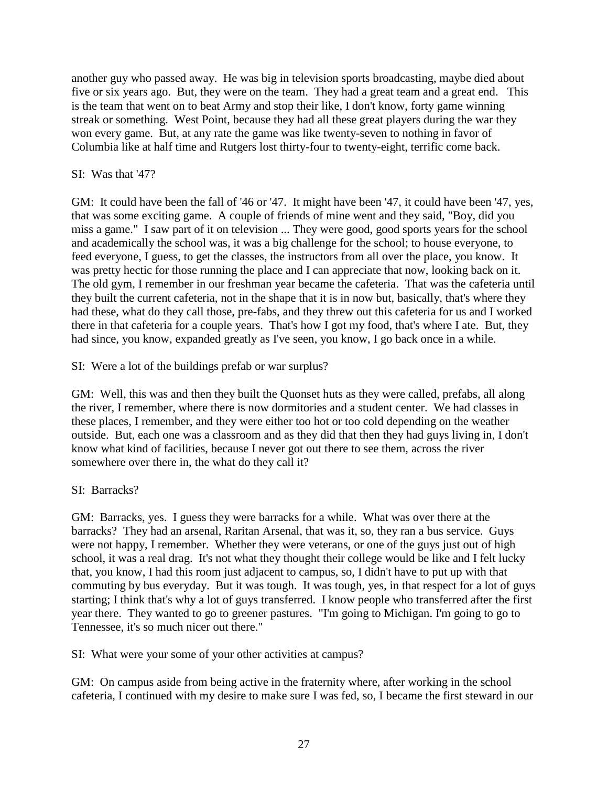another guy who passed away. He was big in television sports broadcasting, maybe died about five or six years ago. But, they were on the team. They had a great team and a great end. This is the team that went on to beat Army and stop their like, I don't know, forty game winning streak or something. West Point, because they had all these great players during the war they won every game. But, at any rate the game was like twenty-seven to nothing in favor of Columbia like at half time and Rutgers lost thirty-four to twenty-eight, terrific come back.

## SI: Was that '47?

GM: It could have been the fall of '46 or '47. It might have been '47, it could have been '47, yes, that was some exciting game. A couple of friends of mine went and they said, "Boy, did you miss a game." I saw part of it on television ... They were good, good sports years for the school and academically the school was, it was a big challenge for the school; to house everyone, to feed everyone, I guess, to get the classes, the instructors from all over the place, you know. It was pretty hectic for those running the place and I can appreciate that now, looking back on it. The old gym, I remember in our freshman year became the cafeteria. That was the cafeteria until they built the current cafeteria, not in the shape that it is in now but, basically, that's where they had these, what do they call those, pre-fabs, and they threw out this cafeteria for us and I worked there in that cafeteria for a couple years. That's how I got my food, that's where I ate. But, they had since, you know, expanded greatly as I've seen, you know, I go back once in a while.

SI: Were a lot of the buildings prefab or war surplus?

GM: Well, this was and then they built the Quonset huts as they were called, prefabs, all along the river, I remember, where there is now dormitories and a student center. We had classes in these places, I remember, and they were either too hot or too cold depending on the weather outside. But, each one was a classroom and as they did that then they had guys living in, I don't know what kind of facilities, because I never got out there to see them, across the river somewhere over there in, the what do they call it?

# SI: Barracks?

GM: Barracks, yes. I guess they were barracks for a while. What was over there at the barracks? They had an arsenal, Raritan Arsenal, that was it, so, they ran a bus service. Guys were not happy, I remember. Whether they were veterans, or one of the guys just out of high school, it was a real drag. It's not what they thought their college would be like and I felt lucky that, you know, I had this room just adjacent to campus, so, I didn't have to put up with that commuting by bus everyday. But it was tough. It was tough, yes, in that respect for a lot of guys starting; I think that's why a lot of guys transferred. I know people who transferred after the first year there. They wanted to go to greener pastures. "I'm going to Michigan. I'm going to go to Tennessee, it's so much nicer out there."

SI: What were your some of your other activities at campus?

GM: On campus aside from being active in the fraternity where, after working in the school cafeteria, I continued with my desire to make sure I was fed, so, I became the first steward in our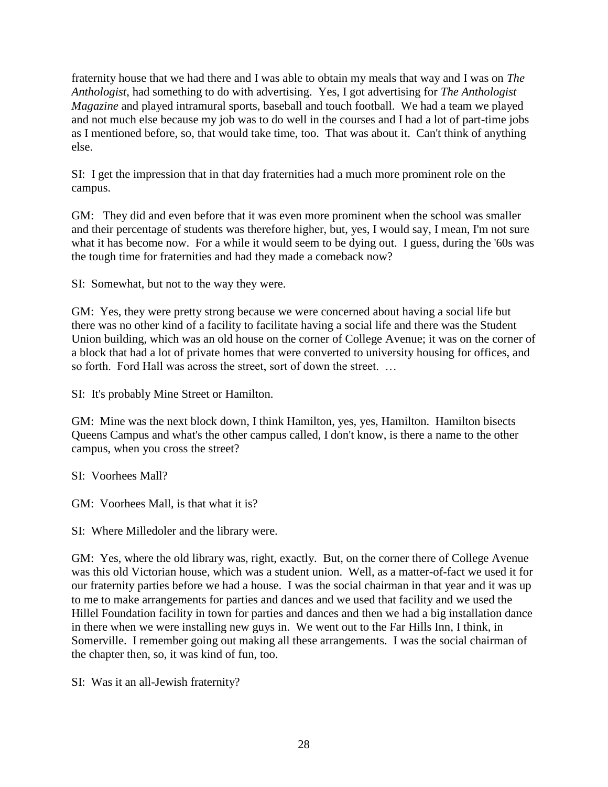fraternity house that we had there and I was able to obtain my meals that way and I was on *The Anthologist*, had something to do with advertising. Yes, I got advertising for *The Anthologist Magazine* and played intramural sports, baseball and touch football. We had a team we played and not much else because my job was to do well in the courses and I had a lot of part-time jobs as I mentioned before, so, that would take time, too. That was about it. Can't think of anything else.

SI: I get the impression that in that day fraternities had a much more prominent role on the campus.

GM: They did and even before that it was even more prominent when the school was smaller and their percentage of students was therefore higher, but, yes, I would say, I mean, I'm not sure what it has become now. For a while it would seem to be dying out. I guess, during the '60s was the tough time for fraternities and had they made a comeback now?

SI: Somewhat, but not to the way they were.

GM: Yes, they were pretty strong because we were concerned about having a social life but there was no other kind of a facility to facilitate having a social life and there was the Student Union building, which was an old house on the corner of College Avenue; it was on the corner of a block that had a lot of private homes that were converted to university housing for offices, and so forth. Ford Hall was across the street, sort of down the street. …

SI: It's probably Mine Street or Hamilton.

GM: Mine was the next block down, I think Hamilton, yes, yes, Hamilton. Hamilton bisects Queens Campus and what's the other campus called, I don't know, is there a name to the other campus, when you cross the street?

SI: Voorhees Mall?

GM: Voorhees Mall, is that what it is?

SI: Where Milledoler and the library were.

GM: Yes, where the old library was, right, exactly. But, on the corner there of College Avenue was this old Victorian house, which was a student union. Well, as a matter-of-fact we used it for our fraternity parties before we had a house. I was the social chairman in that year and it was up to me to make arrangements for parties and dances and we used that facility and we used the Hillel Foundation facility in town for parties and dances and then we had a big installation dance in there when we were installing new guys in. We went out to the Far Hills Inn, I think, in Somerville. I remember going out making all these arrangements. I was the social chairman of the chapter then, so, it was kind of fun, too.

SI: Was it an all-Jewish fraternity?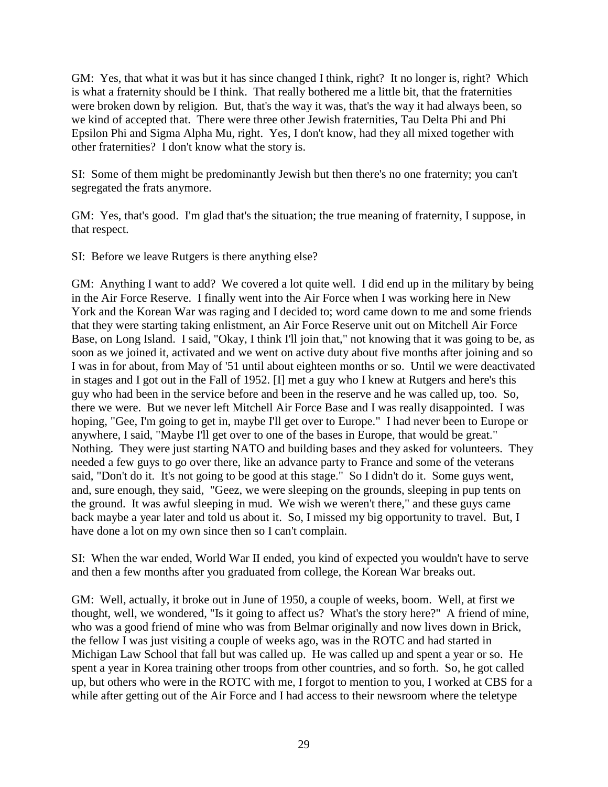GM: Yes, that what it was but it has since changed I think, right? It no longer is, right? Which is what a fraternity should be I think. That really bothered me a little bit, that the fraternities were broken down by religion. But, that's the way it was, that's the way it had always been, so we kind of accepted that. There were three other Jewish fraternities, Tau Delta Phi and Phi Epsilon Phi and Sigma Alpha Mu, right. Yes, I don't know, had they all mixed together with other fraternities? I don't know what the story is.

SI: Some of them might be predominantly Jewish but then there's no one fraternity; you can't segregated the frats anymore.

GM: Yes, that's good. I'm glad that's the situation; the true meaning of fraternity, I suppose, in that respect.

SI: Before we leave Rutgers is there anything else?

GM: Anything I want to add? We covered a lot quite well. I did end up in the military by being in the Air Force Reserve. I finally went into the Air Force when I was working here in New York and the Korean War was raging and I decided to; word came down to me and some friends that they were starting taking enlistment, an Air Force Reserve unit out on Mitchell Air Force Base, on Long Island. I said, "Okay, I think I'll join that," not knowing that it was going to be, as soon as we joined it, activated and we went on active duty about five months after joining and so I was in for about, from May of '51 until about eighteen months or so. Until we were deactivated in stages and I got out in the Fall of 1952. [I] met a guy who I knew at Rutgers and here's this guy who had been in the service before and been in the reserve and he was called up, too. So, there we were. But we never left Mitchell Air Force Base and I was really disappointed. I was hoping, "Gee, I'm going to get in, maybe I'll get over to Europe." I had never been to Europe or anywhere, I said, "Maybe I'll get over to one of the bases in Europe, that would be great." Nothing. They were just starting NATO and building bases and they asked for volunteers. They needed a few guys to go over there, like an advance party to France and some of the veterans said, "Don't do it. It's not going to be good at this stage." So I didn't do it. Some guys went, and, sure enough, they said, "Geez, we were sleeping on the grounds, sleeping in pup tents on the ground. It was awful sleeping in mud. We wish we weren't there," and these guys came back maybe a year later and told us about it. So, I missed my big opportunity to travel. But, I have done a lot on my own since then so I can't complain.

SI: When the war ended, World War II ended, you kind of expected you wouldn't have to serve and then a few months after you graduated from college, the Korean War breaks out.

GM: Well, actually, it broke out in June of 1950, a couple of weeks, boom. Well, at first we thought, well, we wondered, "Is it going to affect us? What's the story here?" A friend of mine, who was a good friend of mine who was from Belmar originally and now lives down in Brick, the fellow I was just visiting a couple of weeks ago, was in the ROTC and had started in Michigan Law School that fall but was called up. He was called up and spent a year or so. He spent a year in Korea training other troops from other countries, and so forth. So, he got called up, but others who were in the ROTC with me, I forgot to mention to you, I worked at CBS for a while after getting out of the Air Force and I had access to their newsroom where the teletype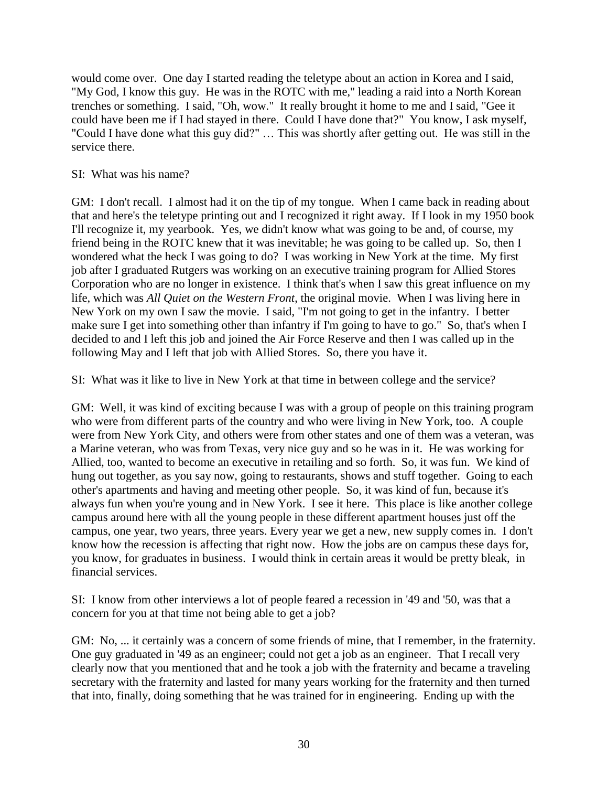would come over. One day I started reading the teletype about an action in Korea and I said, "My God, I know this guy. He was in the ROTC with me," leading a raid into a North Korean trenches or something. I said, "Oh, wow." It really brought it home to me and I said, "Gee it could have been me if I had stayed in there. Could I have done that?" You know, I ask myself, "Could I have done what this guy did?" … This was shortly after getting out. He was still in the service there.

## SI: What was his name?

GM: I don't recall. I almost had it on the tip of my tongue. When I came back in reading about that and here's the teletype printing out and I recognized it right away. If I look in my 1950 book I'll recognize it, my yearbook. Yes, we didn't know what was going to be and, of course, my friend being in the ROTC knew that it was inevitable; he was going to be called up. So, then I wondered what the heck I was going to do? I was working in New York at the time. My first job after I graduated Rutgers was working on an executive training program for Allied Stores Corporation who are no longer in existence. I think that's when I saw this great influence on my life, which was *All Quiet on the Western Front*, the original movie. When I was living here in New York on my own I saw the movie. I said, "I'm not going to get in the infantry. I better make sure I get into something other than infantry if I'm going to have to go." So, that's when I decided to and I left this job and joined the Air Force Reserve and then I was called up in the following May and I left that job with Allied Stores. So, there you have it.

SI: What was it like to live in New York at that time in between college and the service?

GM: Well, it was kind of exciting because I was with a group of people on this training program who were from different parts of the country and who were living in New York, too. A couple were from New York City, and others were from other states and one of them was a veteran, was a Marine veteran, who was from Texas, very nice guy and so he was in it. He was working for Allied, too, wanted to become an executive in retailing and so forth. So, it was fun. We kind of hung out together, as you say now, going to restaurants, shows and stuff together. Going to each other's apartments and having and meeting other people. So, it was kind of fun, because it's always fun when you're young and in New York. I see it here. This place is like another college campus around here with all the young people in these different apartment houses just off the campus, one year, two years, three years. Every year we get a new, new supply comes in. I don't know how the recession is affecting that right now. How the jobs are on campus these days for, you know, for graduates in business. I would think in certain areas it would be pretty bleak, in financial services.

SI: I know from other interviews a lot of people feared a recession in '49 and '50, was that a concern for you at that time not being able to get a job?

GM: No, ... it certainly was a concern of some friends of mine, that I remember, in the fraternity. One guy graduated in '49 as an engineer; could not get a job as an engineer. That I recall very clearly now that you mentioned that and he took a job with the fraternity and became a traveling secretary with the fraternity and lasted for many years working for the fraternity and then turned that into, finally, doing something that he was trained for in engineering. Ending up with the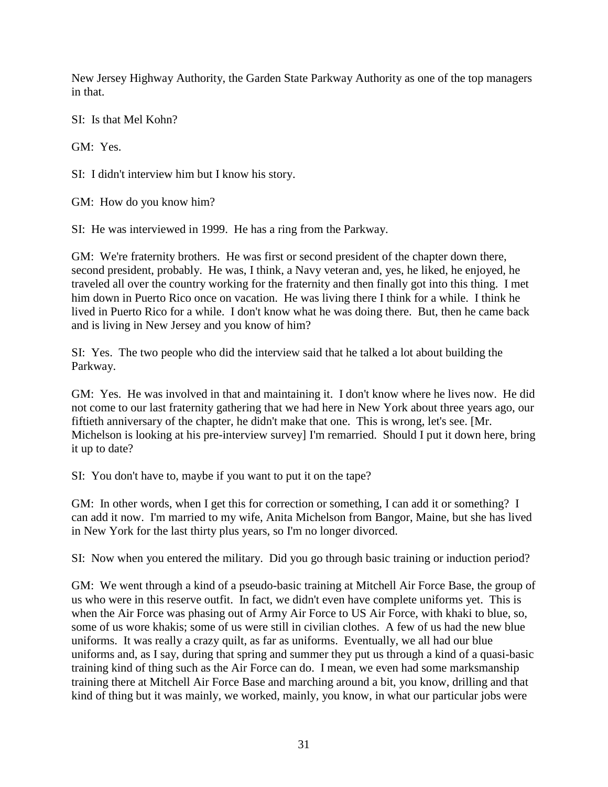New Jersey Highway Authority, the Garden State Parkway Authority as one of the top managers in that.

SI: Is that Mel Kohn?

GM: Yes.

SI: I didn't interview him but I know his story.

GM: How do you know him?

SI: He was interviewed in 1999. He has a ring from the Parkway.

GM: We're fraternity brothers. He was first or second president of the chapter down there, second president, probably. He was, I think, a Navy veteran and, yes, he liked, he enjoyed, he traveled all over the country working for the fraternity and then finally got into this thing. I met him down in Puerto Rico once on vacation. He was living there I think for a while. I think he lived in Puerto Rico for a while. I don't know what he was doing there. But, then he came back and is living in New Jersey and you know of him?

SI: Yes. The two people who did the interview said that he talked a lot about building the Parkway.

GM: Yes. He was involved in that and maintaining it. I don't know where he lives now. He did not come to our last fraternity gathering that we had here in New York about three years ago, our fiftieth anniversary of the chapter, he didn't make that one. This is wrong, let's see. [Mr. Michelson is looking at his pre-interview survey] I'm remarried. Should I put it down here, bring it up to date?

SI: You don't have to, maybe if you want to put it on the tape?

GM: In other words, when I get this for correction or something, I can add it or something? I can add it now. I'm married to my wife, Anita Michelson from Bangor, Maine, but she has lived in New York for the last thirty plus years, so I'm no longer divorced.

SI: Now when you entered the military. Did you go through basic training or induction period?

GM: We went through a kind of a pseudo-basic training at Mitchell Air Force Base, the group of us who were in this reserve outfit. In fact, we didn't even have complete uniforms yet. This is when the Air Force was phasing out of Army Air Force to US Air Force, with khaki to blue, so, some of us wore khakis; some of us were still in civilian clothes. A few of us had the new blue uniforms. It was really a crazy quilt, as far as uniforms. Eventually, we all had our blue uniforms and, as I say, during that spring and summer they put us through a kind of a quasi-basic training kind of thing such as the Air Force can do. I mean, we even had some marksmanship training there at Mitchell Air Force Base and marching around a bit, you know, drilling and that kind of thing but it was mainly, we worked, mainly, you know, in what our particular jobs were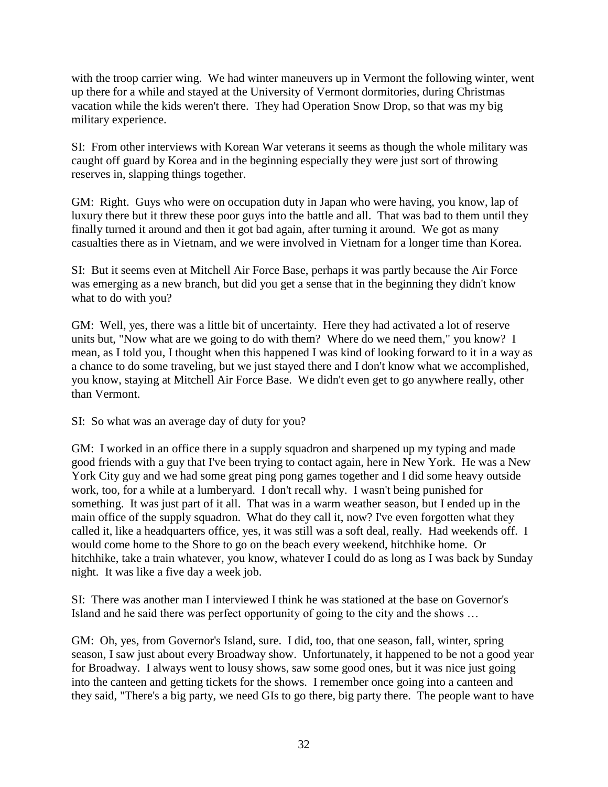with the troop carrier wing. We had winter maneuvers up in Vermont the following winter, went up there for a while and stayed at the University of Vermont dormitories, during Christmas vacation while the kids weren't there. They had Operation Snow Drop, so that was my big military experience.

SI: From other interviews with Korean War veterans it seems as though the whole military was caught off guard by Korea and in the beginning especially they were just sort of throwing reserves in, slapping things together.

GM: Right. Guys who were on occupation duty in Japan who were having, you know, lap of luxury there but it threw these poor guys into the battle and all. That was bad to them until they finally turned it around and then it got bad again, after turning it around. We got as many casualties there as in Vietnam, and we were involved in Vietnam for a longer time than Korea.

SI: But it seems even at Mitchell Air Force Base, perhaps it was partly because the Air Force was emerging as a new branch, but did you get a sense that in the beginning they didn't know what to do with you?

GM: Well, yes, there was a little bit of uncertainty. Here they had activated a lot of reserve units but, "Now what are we going to do with them? Where do we need them," you know? I mean, as I told you, I thought when this happened I was kind of looking forward to it in a way as a chance to do some traveling, but we just stayed there and I don't know what we accomplished, you know, staying at Mitchell Air Force Base. We didn't even get to go anywhere really, other than Vermont.

SI: So what was an average day of duty for you?

GM: I worked in an office there in a supply squadron and sharpened up my typing and made good friends with a guy that I've been trying to contact again, here in New York. He was a New York City guy and we had some great ping pong games together and I did some heavy outside work, too, for a while at a lumberyard. I don't recall why. I wasn't being punished for something. It was just part of it all. That was in a warm weather season, but I ended up in the main office of the supply squadron. What do they call it, now? I've even forgotten what they called it, like a headquarters office, yes, it was still was a soft deal, really. Had weekends off. I would come home to the Shore to go on the beach every weekend, hitchhike home. Or hitchhike, take a train whatever, you know, whatever I could do as long as I was back by Sunday night. It was like a five day a week job.

SI: There was another man I interviewed I think he was stationed at the base on Governor's Island and he said there was perfect opportunity of going to the city and the shows …

GM: Oh, yes, from Governor's Island, sure. I did, too, that one season, fall, winter, spring season, I saw just about every Broadway show. Unfortunately, it happened to be not a good year for Broadway. I always went to lousy shows, saw some good ones, but it was nice just going into the canteen and getting tickets for the shows. I remember once going into a canteen and they said, "There's a big party, we need GIs to go there, big party there. The people want to have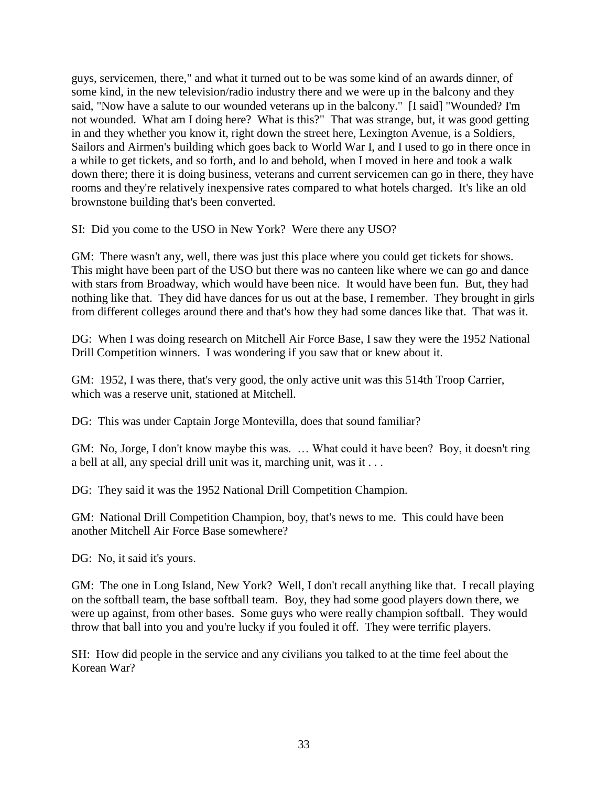guys, servicemen, there," and what it turned out to be was some kind of an awards dinner, of some kind, in the new television/radio industry there and we were up in the balcony and they said, "Now have a salute to our wounded veterans up in the balcony." [I said] "Wounded? I'm not wounded. What am I doing here? What is this?" That was strange, but, it was good getting in and they whether you know it, right down the street here, Lexington Avenue, is a Soldiers, Sailors and Airmen's building which goes back to World War I, and I used to go in there once in a while to get tickets, and so forth, and lo and behold, when I moved in here and took a walk down there; there it is doing business, veterans and current servicemen can go in there, they have rooms and they're relatively inexpensive rates compared to what hotels charged. It's like an old brownstone building that's been converted.

SI: Did you come to the USO in New York? Were there any USO?

GM: There wasn't any, well, there was just this place where you could get tickets for shows. This might have been part of the USO but there was no canteen like where we can go and dance with stars from Broadway, which would have been nice. It would have been fun. But, they had nothing like that. They did have dances for us out at the base, I remember. They brought in girls from different colleges around there and that's how they had some dances like that. That was it.

DG: When I was doing research on Mitchell Air Force Base, I saw they were the 1952 National Drill Competition winners. I was wondering if you saw that or knew about it.

GM: 1952, I was there, that's very good, the only active unit was this 514th Troop Carrier, which was a reserve unit, stationed at Mitchell.

DG: This was under Captain Jorge Montevilla, does that sound familiar?

GM: No, Jorge, I don't know maybe this was. … What could it have been? Boy, it doesn't ring a bell at all, any special drill unit was it, marching unit, was it . . .

DG: They said it was the 1952 National Drill Competition Champion.

GM: National Drill Competition Champion, boy, that's news to me. This could have been another Mitchell Air Force Base somewhere?

DG: No, it said it's yours.

GM: The one in Long Island, New York? Well, I don't recall anything like that. I recall playing on the softball team, the base softball team. Boy, they had some good players down there, we were up against, from other bases. Some guys who were really champion softball. They would throw that ball into you and you're lucky if you fouled it off. They were terrific players.

SH: How did people in the service and any civilians you talked to at the time feel about the Korean War?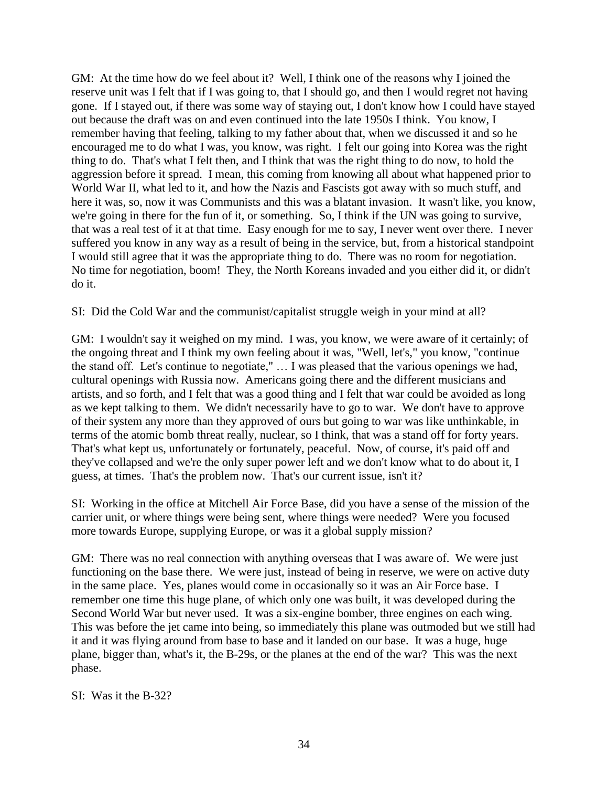GM: At the time how do we feel about it? Well, I think one of the reasons why I joined the reserve unit was I felt that if I was going to, that I should go, and then I would regret not having gone. If I stayed out, if there was some way of staying out, I don't know how I could have stayed out because the draft was on and even continued into the late 1950s I think. You know, I remember having that feeling, talking to my father about that, when we discussed it and so he encouraged me to do what I was, you know, was right. I felt our going into Korea was the right thing to do. That's what I felt then, and I think that was the right thing to do now, to hold the aggression before it spread. I mean, this coming from knowing all about what happened prior to World War II, what led to it, and how the Nazis and Fascists got away with so much stuff, and here it was, so, now it was Communists and this was a blatant invasion. It wasn't like, you know, we're going in there for the fun of it, or something. So, I think if the UN was going to survive, that was a real test of it at that time. Easy enough for me to say, I never went over there. I never suffered you know in any way as a result of being in the service, but, from a historical standpoint I would still agree that it was the appropriate thing to do. There was no room for negotiation. No time for negotiation, boom! They, the North Koreans invaded and you either did it, or didn't do it.

SI: Did the Cold War and the communist/capitalist struggle weigh in your mind at all?

GM: I wouldn't say it weighed on my mind. I was, you know, we were aware of it certainly; of the ongoing threat and I think my own feeling about it was, "Well, let's," you know, "continue the stand off. Let's continue to negotiate," … I was pleased that the various openings we had, cultural openings with Russia now. Americans going there and the different musicians and artists, and so forth, and I felt that was a good thing and I felt that war could be avoided as long as we kept talking to them. We didn't necessarily have to go to war. We don't have to approve of their system any more than they approved of ours but going to war was like unthinkable, in terms of the atomic bomb threat really, nuclear, so I think, that was a stand off for forty years. That's what kept us, unfortunately or fortunately, peaceful. Now, of course, it's paid off and they've collapsed and we're the only super power left and we don't know what to do about it, I guess, at times. That's the problem now. That's our current issue, isn't it?

SI: Working in the office at Mitchell Air Force Base, did you have a sense of the mission of the carrier unit, or where things were being sent, where things were needed? Were you focused more towards Europe, supplying Europe, or was it a global supply mission?

GM: There was no real connection with anything overseas that I was aware of. We were just functioning on the base there. We were just, instead of being in reserve, we were on active duty in the same place. Yes, planes would come in occasionally so it was an Air Force base. I remember one time this huge plane, of which only one was built, it was developed during the Second World War but never used. It was a six-engine bomber, three engines on each wing. This was before the jet came into being, so immediately this plane was outmoded but we still had it and it was flying around from base to base and it landed on our base. It was a huge, huge plane, bigger than, what's it, the B-29s, or the planes at the end of the war? This was the next phase.

SI: Was it the B-32?